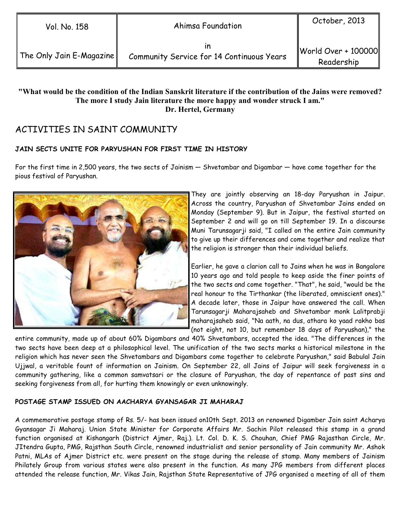in Community Service for 14 Continuous Years

#### "What would be the condition of the Indian Sanskrit literature if the contribution of the Jains were removed? The more I study Jain literature the more happy and wonder struck I am." Dr. Hertel, Germany

# ACTIVITIES IN SAINT COMMUNITY

### JAIN SECTS UNITE FOR PARYUSHAN FOR FIRST TIME IN HISTORY

For the first time in 2,500 years, the two sects of Jainism — Shvetambar and Digambar — have come together for the pious festival of Paryushan.



They are jointly observing an 18-day Paryushan in Jaipur. Across the country, Paryushan of Shvetambar Jains ended on Monday (September 9). But in Jaipur, the festival started on September 2 and will go on till September 19. In a discourse Muni Tarunsagarji said, "I called on the entire Jain community to give up their differences and come together and realize that the religion is stronger than their individual beliefs.

Earlier, he gave a clarion call to Jains when he was in Bangalore 10 years ago and told people to keep aside the finer points of the two sects and come together. "That", he said, "would be the real honour to the Tirthankar (the liberated, omniscient ones)." A decade later, those in Jaipur have answered the call. When Tarunsagarji Maharajsaheb and Shvetambar monk Lalitprabji maharajsaheb said, "Na aath, na dus, athara ko yaad rakho bas (not eight, not 10, but remember 18 days of Paryushan)," the

entire community, made up of about 60% Digambars and 40% Shvetambars, accepted the idea. "The differences in the two sects have been deep at a philosophical level. The unification of the two sects marks a historical milestone in the religion which has never seen the Shvetambars and Digambars come together to celebrate Paryushan," said Babulal Jain Ujjwal, a veritable fount of information on Jainism. On September 22, all Jains of Jaipur will seek forgiveness in a community gathering, like a common samvatsari or the closure of Paryushan, the day of repentance of past sins and seeking forgiveness from all, for hurting them knowingly or even unknowingly.

### POSTAGE STAMP ISSUED ON AACHARYA GYANSAGAR JI MAHARAJ

A commemorative postage stamp of Rs. 5/- has been issued on10th Sept. 2013 on renowned Digamber Jain saint Acharya Gyansagar Ji Maharaj. Union State Minister for Corporate Affairs Mr. Sachin Pilot released this stamp in a grand function organised at Kishangarh (District Ajmer, Raj.). Lt. Col. D. K. S. Chouhan, Chief PMG Rajasthan Circle, Mr. JItendra Gupta, PMG, Rajsthan South Circle, renowned industrialist and senior personality of Jain community Mr. Ashok Patni, MLAs of Ajmer District etc. were present on the stage during the release of stamp. Many members of Jainism Philately Group from various states were also present in the function. As many JPG members from different places attended the release function, Mr. Vikas Jain, Rajsthan State Representative of JPG organised a meeting of all of them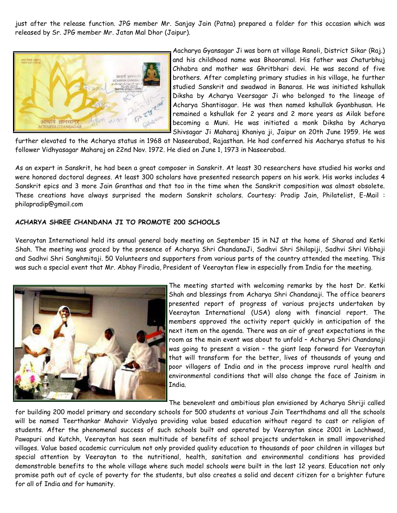just after the release function. JPG member Mr. Sanjay Jain (Patna) prepared a folder for this occasion which was released by Sr. JPG member Mr. Jatan Mal Dhor (Jaipur).



Aacharya Gyansagar Ji was born at village Ranoli, District Sikar (Raj.) and his childhood name was Bhooramal. His father was Chaturbhuj Chhabra and mother was Ghritbhari devi. He was second of five brothers. After completing primary studies in his village, he further studied Sanskrit and swadwad in Banaras. He was initiated kshullak Diksha by Acharya Veersagar Ji who belonged to the lineage of Acharya Shantisagar. He was then named kshullak Gyanbhusan. He remained a kshullak for 2 years and 2 more years as Ailak before becoming a Muni. He was initiated a monk Diksha by Acharya Shivsagar Ji Maharaj Khaniya ji, Jaipur on 20th June 1959. He was

further elevated to the Acharya status in 1968 at Naseerabad, Rajasthan. He had conferred his Aacharya status to his follower Vidhyasagar Maharaj on 22nd Nov. 1972. He died on June 1, 1973 in Naseerabad.

As an expert in Sanskrit, he had been a great composer in Sanskrit. At least 30 researchers have studied his works and were honored doctoral degrees. At least 300 scholars have presented research papers on his work. His works includes 4 Sanskrit epics and 3 more Jain Granthas and that too in the time when the Sanskrit composition was almost obsolete. These creations have always surprised the modern Sanskrit scholars. Courtesy: Pradip Jain, Philatelist, E-Mail : philapradip@gmail.com

#### ACHARYA SHREE CHANDANA JI TO PROMOTE 200 SCHOOLS

Veeraytan International held its annual general body meeting on September 15 in NJ at the home of Sharad and Ketki Shah. The meeting was graced by the presence of Acharya Shri ChandanaJi, Sadhvi Shri Shilapiji, Sadhvi Shri Vibhaji and Sadhvi Shri Sanghmitaji. 50 Volunteers and supporters from various parts of the country attended the meeting. This was such a special event that Mr. Abhay Firodia, President of Veeraytan flew in especially from India for the meeting.



The meeting started with welcoming remarks by the host Dr. Ketki Shah and blessings from Acharya Shri Chandanaji. The office bearers presented report of progress of various projects undertaken by Veeraytan International (USA) along with financial report. The members approved the activity report quickly in anticipation of the next item on the agenda. There was an air of great expectations in the room as the main event was about to unfold – Acharya Shri Chandanaji was going to present a vision – the giant leap forward for Veeraytan that will transform for the better, lives of thousands of young and poor villagers of India and in the process improve rural health and environmental conditions that will also change the face of Jainism in India.

The benevolent and ambitious plan envisioned by Acharya Shriji called

for building 200 model primary and secondary schools for 500 students at various Jain Teerthdhams and all the schools will be named Teerthankar Mahavir Vidyalya providing value based education without regard to cast or religion of students. After the phenomenal success of such schools built and operated by Veeraytan since 2001 in Lachhwad, Pawapuri and Kutchh, Veeraytan has seen multitude of benefits of school projects undertaken in small impoverished villages. Value based academic curriculum not only provided quality education to thousands of poor children in villages but special attention by Veeraytan to the nutritional, health, sanitation and environmental conditions has provided demonstrable benefits to the whole village where such model schools were built in the last 12 years. Education not only promise path out of cycle of poverty for the students, but also creates a solid and decent citizen for a brighter future for all of India and for humanity.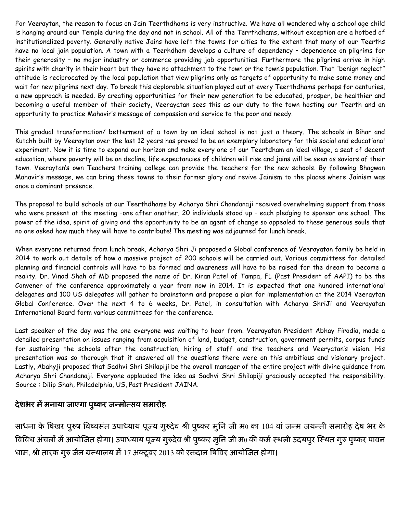For Veeraytan, the reason to focus on Jain Teerthdhams is very instructive. We have all wondered why a school age child is hanging around our Temple during the day and not in school. All of the Terrthdhams, without exception are a hotbed of institutionalized poverty. Generally native Jains have left the towns for cities to the extent that many of our Teerths have no local jain population. A town with a Teerhdham develops a culture of dependency – dependence on pilgrims for their generosity – no major industry or commerce providing job opportunities. Furthermore the pilgrims arrive in high spirits with charity in their heart but they have no attachment to the town or the town's population. That "benign neglect" attitude is reciprocated by the local population that view pilgrims only as targets of opportunity to make some money and wait for new pilgrims next day. To break this deplorable situation played out at every Teerthdhams perhaps for centuries, a new approach is needed. By creating opportunities for their new generation to be educated, prosper, be healthier and becoming a useful member of their society, Veerayatan sees this as our duty to the town hosting our Teerth and an opportunity to practice Mahavir's message of compassion and service to the poor and needy.

This gradual transformation/ betterment of a town by an ideal school is not just a theory. The schools in Bihar and Kutchh built by Veeraytan over the last 12 years has proved to be an exemplary laboratory for this social and educational experiment. Now it is time to expand our horizon and make every one of our Teertdham an ideal village, a seat of decent education, where poverty will be on decline, life expectancies of children will rise and jains will be seen as saviors of their town. Veeraytan's own Teachers training college can provide the teachers for the new schools. By following Bhagwan Mahavir's message, we can bring these towns to their former glory and revive Jainism to the places where Jainism was once a dominant presence.

The proposal to build schools at our Teerthdhams by Acharya Shri Chandanaji received overwhelming support from those who were present at the meeting –one after another, 20 individuals stood up – each pledging to sponsor one school. The power of the idea, spirit of giving and the opportunity to be an agent of change so appealed to these generous souls that no one asked how much they will have to contribute! The meeting was adjourned for lunch break.

When everyone returned from lunch break, Acharya Shri Ji proposed a Global conference of Veerayatan family be held in 2014 to work out details of how a massive project of 200 schools will be carried out. Various committees for detailed planning and financial controls will have to be formed and awareness will have to be raised for the dream to become a reality. Dr. Vinod Shah of MD proposed the name of Dr. Kiran Patel of Tampa, FL (Past President of AAPI) to be the Convener of the conference approximately a year from now in 2014. It is expected that one hundred international delegates and 100 US delegates will gather to brainstorm and propose a plan for implementation at the 2014 Veeraytan Global Conference. Over the next 4 to 6 weeks, Dr. Patel, in consultation with Acharya ShriJi and Veerayatan International Board form various committees for the conference.

Last speaker of the day was the one everyone was waiting to hear from. Veerayatan President Abhay Firodia, made a detailed presentation on issues ranging from acquisition of land, budget, construction, government permits, corpus funds for sustaining the schools after the construction, hiring of staff and the teachers and Veeryatan's vision. His presentation was so thorough that it answered all the questions there were on this ambitious and visionary project. Lastly, Abahyji proposed that Sadhvi Shri Shilapiji be the overall manager of the entire project with divine guidance from Acharya Shri Chandanaji. Everyone applauded the idea as Sadhvi Shri Shilapiji graciously accepted the responsibility. Source : Dilip Shah, Philadelphia, US, Past President JAINA.

### देशभर में मनाया जाएगा पुष्कर जन्मोत्सव समारोह

साधना के षिखर पुरुष विष्वसत उपाध्याय पूज्य गुरुदेव श्री पुष्कर मुनि जी म0 का 104 वा जन्म जयन्ती समारोह देष भर के विविध अचलों में आयोजित होगा। उपाध्याय पूज्य गुरुदेव श्री पुष्कर मुनि जी म0 की कमें स्थली उदयपुर स्थित गुरु पुष्कर पावन धाम, श्री तारक गुरु जैन ग्रन्थालय में 17 अक्टूबर 2013 को रक्तदान षिविर आयोजित होगा।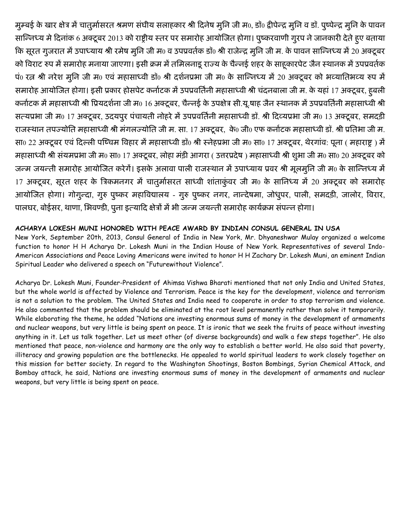मुम्बई के खार क्षेत्र में चातुर्मासरत श्रमण संघीय सलाहकार श्री दिनेष मुनि जी म0, डाॅ0 द्वीपेन्द्र मुनि व डाॅ. पुष्पेन्द्र मुनि के पावन सान्निध्य मे दिनांक 6 अक्टूबर 2013 को राष्ट्रीय स्तर पर समारोह आयोजित होगा। पुष्करवाणी गुरप ने जानकारी देते हुए बताया कि सूरत गुजरात में उपाध्याय श्री रमेष मूनि जी म0 व उपप्रवर्तक डॉ0 श्री राजेन्द्र मूनि जी म. के पावन सान्निध्य में 20 अक्टूबर को विराट रुप में समारोह मनाया जाएगा। इसी क्रम में तमिलनाडू राज्य के चैन्नई शहर के साहूकारपेट जैन स्थानक में उपप्रवर्तक पं0 रत्न श्री नरेश मुनि जी म0 एवं महासाध्वी डॉ0 श्री दर्शनप्रभा जी म0 के सान्निध्य में 20 अक्टूबर को भव्यातिभव्य रुप में समारोह आयोजित होगा। इसी प्रकार होसपेट कर्नाटक में उपप्रवर्तिनी महासाध्वी श्री चंदनबाला जी म. के यहां 17 अक्टूबर, हबली कर्नाटक में महासाध्वी श्री प्रियदर्शना जी म0 16 अक्टूबर, चैन्नई के उपक्षेत्र सी.यू.षाह जैन स्थानक में उपप्रवर्तिनी महासाध्वी श्री सत्यप्रभा जी म0 17 अक्टूबर, उदयपुर पंचायती नोहरे में उपप्रवर्तिनी महासाध्वी डॉ. श्री दिव्यप्रभा जी म0 13 अक्टूबर, समदड़ी राजस्थान तपज्योति महासाध्वी श्री मंगलज्योति जी म. सा. 17 अक्टूबर, के0 जी0 एफ कर्नाटक महासाध्वी डॉ. श्री प्रतिभा जी म. सा0 22 अक्टूबर एवं दिल्ली पष्चिम विहार में महासाध्वी डॉ0 श्री स्नेहप्रभा जी म0 सा0 17 अक्टूबर, थेरगांव: पूना ( महाराष्ट्र) में महासाध्वी श्री संयमप्रभा जी म0 सा0 17 अक्टूबर, लोहा मंडी आगरा (उत्तरप्रदेष) महासाध्वी श्री शुभा जी म0 सा0 20 अक्टूबर को जन्म जयन्ती समारोह आयोजित करेगें। इसके अलावा पाली राजस्थान में उपाध्याय प्रवर श्री मूलमुनि जी म0 के सान्निध्य में 17 अक्टूबर, सूरत शहर के त्रिकमनगर में चातुर्मासरत साध्वी शांताकुंवर जी म0 के सानिध्य में 20 अक्टूबर को समारोह आयोजित होगा। गोगुन्दा, गुरु पुष्कर महाविद्यालय - गुरु पुष्कर नगर, नान्देषमा, जोधुपर, पाली, समदडी, जालोर, विरार, पालघर, बोईसर, थाणा, भिवण्डी, पूना इत्यादि क्षेत्रों में भी जन्म जयन्ती समारोह कार्यक्रम संपन्न होगा।

#### ACHARYA LOKESH MUNI HONORED WITH PEACE AWARD BY INDIAN CONSUL GENERAL IN USA

New York, September 20th, 2013, Consul General of India in New York, Mr. Dhyaneshwar Mulay organized a welcome function to honor H H Acharya Dr. Lokesh Muni in the Indian House of New York. Representatives of several Indo-American Associations and Peace Loving Americans were invited to honor H H Zachary Dr. Lokesh Muni, an eminent Indian Spiritual Leader who delivered a speech on "Futurewithout Violence".

Acharya Dr. Lokesh Muni, Founder-President of Ahimsa Vishwa Bharati mentioned that not only India and United States, but the whole world is affected by Violence and Terrorism. Peace is the key for the development, violence and terrorism is not a solution to the problem. The United States and India need to cooperate in order to stop terrorism and violence. He also commented that the problem should be eliminated at the root level permanently rather than solve it temporarily. While elaborating the theme, he added "Nations are investing enormous sums of money in the development of armaments and nuclear weapons, but very little is being spent on peace. It is ironic that we seek the fruits of peace without investing anything in it. Let us talk together. Let us meet other (of diverse backgrounds) and walk a few steps together". He also mentioned that peace, non-violence and harmony are the only way to establish a better world. He also said that poverty, illiteracy and growing population are the bottlenecks. He appealed to world spiritual leaders to work closely together on this mission for better society. In regard to the Washington Shootings, Boston Bombings, Syrian Chemical Attack, and Bombay attack, he said, Nations are investing enormous sums of money in the development of armaments and nuclear weapons, but very little is being spent on peace.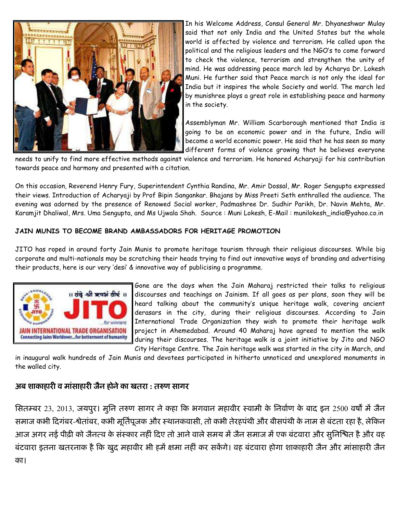

In his Welcome Address, Consul General Mr. Dhyaneshwar Mulay said that not only India and the United States but the whole world is affected by violence and terrorism. He called upon the political and the religious leaders and the NGO's to come forward to check the violence, terrorism and strengthen the unity of mind. He was addressing peace march led by Acharya Dr. Lokesh Muni. He further said that Peace march is not only the ideal for India but it inspires the whole Society and world. The march led by munishree plays a great role in establishing peace and harmony in the society.

Assemblyman Mr. William Scarborough mentioned that India is going to be an economic power and in the future, India will become a world economic power. He said that he has seen so many different forms of violence growing that he believes everyone

needs to unify to find more effective methods against violence and terrorism. He honored Acharyaji for his contribution towards peace and harmony and presented with a citation.

On this occasion, Reverend Henry Fury, Superintendent Cynthia Randina, Mr. Amir Dossal, Mr. Roger Sengupta expressed their views. Introduction of Acharyaji by Prof Bipin Sangankar. Bhajans by Miss Preeti Seth enthralled the audience. The evening was adorned by the presence of Renowed Social worker, Padmashree Dr. Sudhir Parikh, Dr. Navin Mehta, Mr. Karamjit Dhaliwal, Mrs. Uma Sengupta, and Ms Ujwala Shah. Source : Muni Lokesh, E-Mail : munilokesh\_india@yahoo.co.in

### JAIN MUNIS TO BECOME BRAND AMBASSADORS FOR HERITAGE PROMOTION

JITO has roped in around forty Jain Munis to promote heritage tourism through their religious discourses. While big corporate and multi-nationals may be scratching their heads trying to find out innovative ways of branding and advertising their products, here is our very 'desi' & innovative way of publicising a programme.



Gone are the days when the Jain Maharaj restricted their talks to religious discourses and teachings on Jainism. If all goes as per plans, soon they will be heard talking about the community's unique heritage walk, covering ancient derasars in the city, during their religious discourses. According to Jain International Trade Organization they wish to promote their heritage walk project in Ahemedabad. Around 40 Maharaj have agreed to mention the walk during their discourses. The heritage walk is a joint initiative by Jito and NGO City Heritage Centre. The Jain heritage walk was started in the city in March, and

in inaugural walk hundreds of Jain Munis and devotees participated in hitherto unnoticed and unexplored monuments in the walled city.

### अब शाकाहारी व मासाहारी जैन होने का खतरा : तरुण सागर

सितम्बर 23, 2013, जयपुर। मुनि तरुण सागर ने कहा कि भगवान महावीर स्वामी के निर्वाण के बाद इन 2500 वर्षों में जैन समाज कभी दिगंबर-श्वेताबर, कभी मूर्तिपूजक और स्थानकवासी, तो कभी तेरहपथी और बीसपथी के नाम से बटता रहा है, लेकिन आज अगर नई पीढ़ी को जैनत्व के संस्कार नहीं दिए तो आने वाले समय में जैन समाज में एक बटवारा और सुनिश्चित है और वह बटवारा इतना खतरनाक है कि खुद महावीर भी हमें क्षमा नहीं कर सकेंगे। वह बटवारा होगा शाकाहारी जैन और मासाहारी जैन का।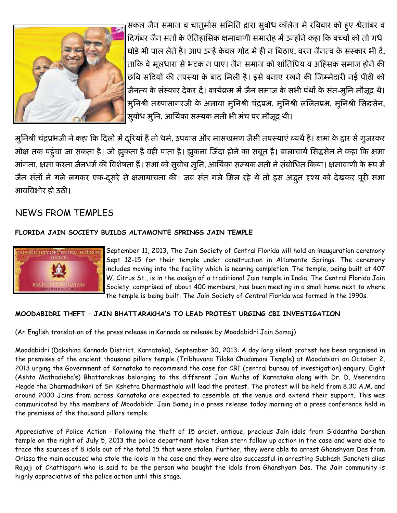

सकल जैन समाज व चातुर्मास समिति द्वारा सुबोध कॉलेज में रविवार को हुए श्वेतांबर व दिगंबर जैन संतों के ऐतिहासिक क्षमावाणी समारोह में उन्होंने कहा कि बच्चों को तो गधे-घोड़े भी पाल लेते हैं। आप उन्हें केवल गोद में ही न बिठाएं, वरन जैनत्व के संस्कार भी दें, ताकि वे मूलधारा से भटक न पाएं। जैन समाज को शांतिप्रिय व अहिंसक समाज होने की छवि सदियों की तपस्या के बाद मिली है। इसे बनाए रखने की जिम्मेदारी नई पीढ़ी को जैनत्व के संस्कार देकर दें। कार्यक्रम में जैन समाज के सभी पंथों के संत-मूनि मौजूद थे। मुनिश्री तरुणसागरजी के अलावा मुनिश्री चंद्रप्रभ, मुनिश्री ललितप्रभ, मुनिश्री सिद्धसेन, सुबोध मूनि, आर्यिका सम्यक मती भी मंच पर मौजूद थी।

मुनिश्री चंद्रप्रभजी ने कहा कि दिलों में दूरियां हैं तो धर्म, उपवास और मासखमण जैसी तपस्याएं व्यर्थ हैं। क्षमा के द्वार से गुजरकर मोक्ष तक पहुंचा जा सकता है। जो झुकता है वही पाता है। झुकना जिंदा होने का सबूत है। बालाचार्य सिद्धसेन ने कहा कि क्षमा मांगना, क्षमा करना जैनधर्म की विशेषता हैं। सभा को सुबोध मूनि, आर्यिका सम्यक मती ने संबोधित किया। क्षमावाणी के रूप में जैन संतों ने गले लगकर एक-दूसरे से क्षमायाचना की। जब संत गले मिल रहे थे तो इस अद्भुत दृश्य को देखकर पूरी सभा भावविभोर हो उठी।

# NEWS FROM TEMPLES

### FLORIDA JAIN SOCIETY BUILDS ALTAMONTE SPRINGS JAIN TEMPLE



September 11, 2013, The Jain Society of Central Florida will hold an inauguration ceremony Sept 12-15 for their temple under construction in Altamonte Springs. The ceremony includes moving into the facility which is nearing completion. The temple, being built at 407 W. Citrus St., is in the design of a traditional Jain temple in India. The Central Florida Jain Society, comprised of about 400 members, has been meeting in a small home next to where the temple is being built. The Jain Society of Central Florida was formed in the 1990s.

### MOODABIDRI THEFT - JAIN BHATTARAKHA'S TO LEAD PROTEST URGING CBI INVESTIGATION

(An English translation of the press release in Kannada as release by Moodabidri Jain Samaj)

Moodabidri (Dakshina Kannada District, Karnataka), September 30, 2013: A day long silent protest has been organised in the premises of the ancient thousand pillars temple (Tribhuvana Tilaka Chudamani Temple) at Moodabidri on October 2, 2013 urging the Government of Karnataka to recommend the case for CBI (central bureau of investigation) enquiry. Eight (Ashta Mathadisha's) Bhattarakhas belonging to the different Jain Muths of Karnataka along with Dr. D. Veerendra Hegde the Dharmadhikari of Sri Kshetra Dharmasthala will lead the protest. The protest will be held from 8.30 A.M. and around 2000 Jains from across Karnataka are expected to assemble at the venue and extend their support. This was communicated by the members of Moodabidri Jain Samaj in a press release today morning at a press conference held in the premises of the thousand pillars temple.

Appreciative of Police Action - Following the theft of 15 anciet, antique, precious Jain idols from Siddantha Darshan temple on the night of July 5, 2013 the police department have taken stern follow up action in the case and were able to trace the sources of 8 idols out of the total 15 that were stolen. Further, they were able to arrest Ghanshyam Das from Orissa the main accused who stole the idols in the case and they were also successful in arresting Subhash Sancheti alias Rajaji of Chattisgarh who is said to be the person who bought the idols from Ghanshyam Das. The Jain community is highly appreciative of the police action until this stage.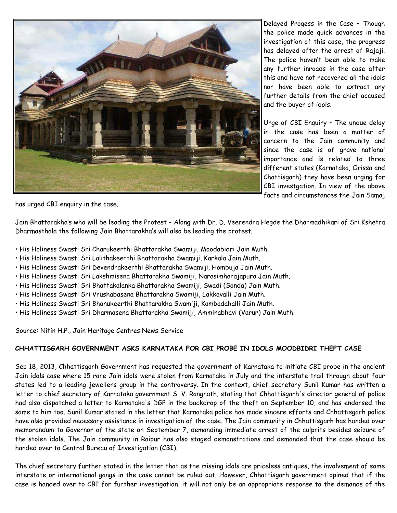

Delayed Progess in the Case – Though the police made quick advances in the investigation of this case, the progress has delayed after the arrest of Rajaji. The police haven't been able to make any further inroads in the case after this and have not recovered all the idols nor have been able to extract any further details from the chief accused and the buyer of idols.

Urge of CBI Enquiry – The undue delay in the case has been a matter of concern to the Jain community and since the case is of grave national importance and is related to three different states (Karnataka, Orissa and Chattisgarh) they have been urging for CBI investgation. In view of the above facts and circumstances the Jain Samaj

has urged CBI enquiry in the case.

Jain Bhattarakha's who will be leading the Protest – Along with Dr. D. Veerendra Hegde the Dharmadhikari of Sri Kshetra Dharmasthala the following Jain Bhattarakha's will also be leading the protest.

- His Holiness Swasti Sri Charukeerthi Bhattarakha Swamiji, Moodabidri Jain Muth.
- His Holiness Swasti Sri Lalithakeerthi Bhattarakha Swamiji, Karkala Jain Muth.
- His Holiness Swasti Sri Devendrakeerthi Bhattarakha Swamiji, Hombuja Jain Muth.
- His Holiness Swasti Sri Lakshmisena Bhattarakha Swamiji, Narasimharajapura Jain Muth.
- His Holiness Swasti Sri Bhattakalanka Bhattarakha Swamiji, Swadi (Sonda) Jain Muth.
- His Holiness Swasti Sri Vrushabasena Bhattarakha Swamiji, Lakkavalli Jain Muth.
- His Holiness Swasti Sri Bhanukeerthi Bhattarakha Swamiji, Kambadahalli Jain Muth.
- His Holiness Swasti Sri Dharmasena Bhattarakha Swamiji, Amminabhavi (Varur) Jain Muth.

Source: Nitin H.P., Jain Heritage Centres News Service

#### CHHATTISGARH GOVERNMENT ASKS KARNATAKA FOR CBI PROBE IN IDOLS MOODBIDRI THEFT CASE

Sep 18, 2013, Chhattisgarh Government has requested the government of Karnataka to initiate CBI probe in the ancient Jain idols case where 15 rare Jain idols were stolen from Karnataka in July and the interstate trail through about four states led to a leading jewellers group in the controversy. In the context, chief secretary Sunil Kumar has written a letter to chief secretary of Karnataka government S. V. Rangnath, stating that Chhattisgarh's director general of police had also dispatched a letter to Karnataka's DGP in the backdrop of the theft on September 10, and has endorsed the same to him too. Sunil Kumar stated in the letter that Karnataka police has made sincere efforts and Chhattisgarh police have also provided necessary assistance in investigation of the case. The Jain community in Chhattisgarh has handed over memorandum to Governor of the state on September 7, demanding immediate arrest of the culprits besides seizure of the stolen idols. The Jain community in Raipur has also staged demonstrations and demanded that the case should be handed over to Central Bureau of Investigation (CBI).

The chief secretary further stated in the letter that as the missing idols are priceless antiques, the involvement of some interstate or international gangs in the case cannot be ruled out. However, Chhattisgarh government opined that if the case is handed over to CBI for further investigation, it will not only be an appropriate response to the demands of the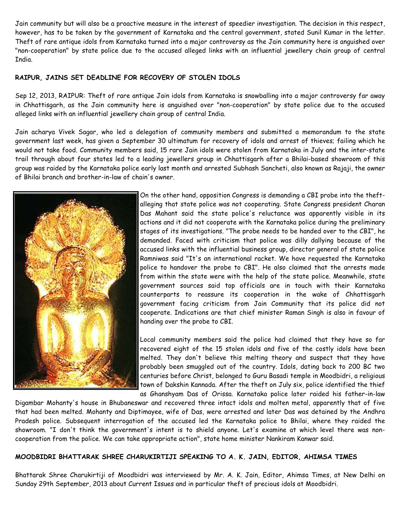Jain community but will also be a proactive measure in the interest of speedier investigation. The decision in this respect, however, has to be taken by the government of Karnataka and the central government, stated Sunil Kumar in the letter. Theft of rare antique idols from Karnataka turned into a major controversy as the Jain community here is anguished over "non-cooperation" by state police due to the accused alleged links with an influential jewellery chain group of central India.

#### RAIPUR, JAINS SET DEADLINE FOR RECOVERY OF STOLEN IDOLS

Sep 12, 2013, RAIPUR: Theft of rare antique Jain idols from Karnataka is snowballing into a major controversy far away in Chhattisgarh, as the Jain community here is anguished over "non-cooperation" by state police due to the accused alleged links with an influential jewellery chain group of central India.

Jain acharya Vivek Sagar, who led a delegation of community members and submitted a memorandum to the state government last week, has given a September 30 ultimatum for recovery of idols and arrest of thieves; failing which he would not take food. Community members said, 15 rare Jain idols were stolen from Karnataka in July and the inter-state trail through about four states led to a leading jewellers group in Chhattisgarh after a Bhilai-based showroom of this group was raided by the Karnataka police early last month and arrested Subhash Sancheti, also known as Rajaji, the owner of Bhilai branch and brother-in-law of chain's owner.



On the other hand, opposition Congress is demanding a CBI probe into the theftalleging that state police was not cooperating. State Congress president Charan Das Mahant said the state police's reluctance was apparently visible in its actions and it did not cooperate with the Karnataka police during the preliminary stages of its investigations. "The probe needs to be handed over to the CBI", he demanded. Faced with criticism that police was dilly dallying because of the accused links with the influential business group, director general of state police Ramniwas said "It's an international racket. We have requested the Karnataka police to handover the probe to CBI". He also claimed that the arrests made from within the state were with the help of the state police. Meanwhile, state government sources said top officials are in touch with their Karnataka counterparts to reassure its cooperation in the wake of Chhattisgarh government facing criticism from Jain Community that its police did not cooperate. Indications are that chief minister Raman Singh is also in favour of handing over the probe to CBI.

Local community members said the police had claimed that they have so far recovered eight of the 15 stolen idols and five of the costly idols have been melted. They don't believe this melting theory and suspect that they have probably been smuggled out of the country. Idols, dating back to 200 BC two centuries before Christ, belonged to Guru Basadi temple in Moodbidri, a religious town of Dakshin Kannada. After the theft on July six, police identified the thief as Ghanshyam Das of Orissa. Karnataka police later raided his father-in-law

Digambar Mohanty's house in Bhubaneswar and recovered three intact idols and molten metal, apparently that of five that had been melted. Mohanty and Diptimayee, wife of Das, were arrested and later Das was detained by the Andhra Pradesh police. Subsequent interrogation of the accused led the Karnataka police to Bhilai, where they raided the showroom. "I don't think the government's intent is to shield anyone. Let's examine at which level there was noncooperation from the police. We can take appropriate action", state home minister Nankiram Kanwar said.

#### MOODBIDRI BHATTARAK SHREE CHARUKIRTIJI SPEAKING TO A. K. JAIN, EDITOR, AHIMSA TIMES

Bhattarak Shree Charukirtiji of Moodbidri was interviewed by Mr. A. K. Jain, Editor, Ahimsa Times, at New Delhi on Sunday 29th September, 2013 about Current Issues and in particular theft of precious idols at Moodbidri.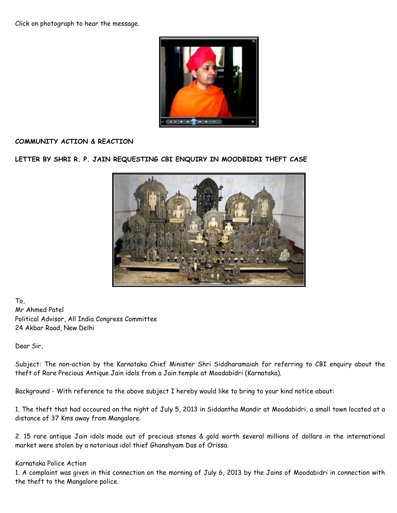Click on photograph to hear the message.



#### COMMUNITY ACTION & REACTION

LETTER BY SHRI R. P. JAIN REQUESTING CBI ENQUIRY IN MOODBIDRI THEFT CASE



To, Mr Ahmed Patel Political Advisor, All India Congress Committee 24 Akbar Road, New Delhi

Dear Sir,

Subject: The non-action by the Karnataka Chief Minister Shri Siddharamaiah for referring to CBI enquiry about the theft of Rare Precious Antique Jain idols from a Jain temple at Moodabidri (Karnataka).

Background - With reference to the above subject I hereby would like to bring to your kind notice about:

1. The theft that had occoured on the night of July 5, 2013 in Siddantha Mandir at Moodabidri, a small town located at a distance of 37 Kms away from Mangalore.

2. 15 rare antique Jain idols made out of precious stones & gold worth several millions of dollars in the international market were stolen by a notorious idol thief Ghanshyam Das of Orissa.

#### Karnataka Police Action

1. A complaint was given in this connection on the morning of July 6, 2013 by the Jains of Moodabidri in connection with the theft to the Mangalore police.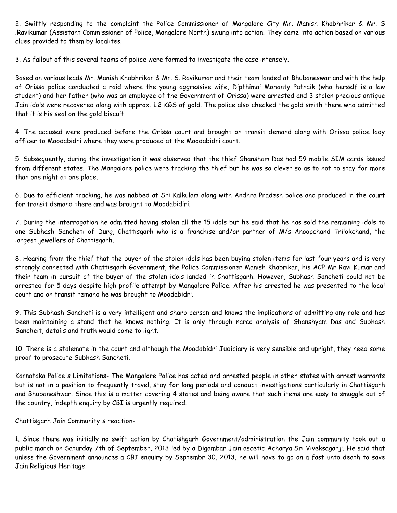2. Swiftly responding to the complaint the Police Commissioner of Mangalore City Mr. Manish Khabhrikar & Mr. S .Ravikumar (Assistant Commissioner of Police, Mangalore North) swung into action. They came into action based on various clues provided to them by localites.

3. As fallout of this several teams of police were formed to investigate the case intensely.

Based on various leads Mr. Manish Khabhrikar & Mr. S. Ravikumar and their team landed at Bhubaneswar and with the help of Orissa police conducted a raid where the young aggressive wife, Dipthimai Mohanty Patnaik (who herself is a law student) and her father (who was an employee of the Government of Orissa) were arrested and 3 stolen precious antique Jain idols were recovered along with approx. 1.2 KGS of gold. The police also checked the gold smith there who admitted that it is his seal on the gold biscuit.

4. The accused were produced before the Orissa court and brought on transit demand along with Orissa police lady officer to Moodabidri where they were produced at the Moodabidri court.

5. Subsequently, during the investigation it was observed that the thief Ghansham Das had 59 mobile SIM cards issued from different states. The Mangalore police were tracking the thief but he was so clever so as to not to stay for more than one night at one place.

6. Due to efficient tracking, he was nabbed at Sri Kalkulam along with Andhra Pradesh police and produced in the court for transit demand there and was brought to Moodabidiri.

7. During the interrogation he admitted having stolen all the 15 idols but he said that he has sold the remaining idols to one Subhash Sancheti of Durg, Chattisgarh who is a franchise and/or partner of M/s Anoopchand Trilokchand, the largest jewellers of Chattisgarh.

8. Hearing from the thief that the buyer of the stolen idols has been buying stolen items for last four years and is very strongly connected with Chattisgarh Government, the Police Commissioner Manish Khabrikar, his ACP Mr Ravi Kumar and their team in pursuit of the buyer of the stolen idols landed in Chattisgarh. However, Subhash Sancheti could not be arrested for 5 days despite high profile attempt by Mangalore Police. After his arrested he was presented to the local court and on transit remand he was brought to Moodabidri.

9. This Subhash Sancheti is a very intelligent and sharp person and knows the implications of admitting any role and has been maintaining a stand that he knows nothing. It is only through narco analysis of Ghanshyam Das and Subhash Sancheit, details and truth would come to light.

10. There is a stalemate in the court and although the Moodabidri Judiciary is very sensible and upright, they need some proof to prosecute Subhash Sancheti.

Karnataka Police's Limitations- The Mangalore Police has acted and arrested people in other states with arrest warrants but is not in a position to frequently travel, stay for long periods and conduct investigations particularly in Chattisgarh and Bhubaneshwar. Since this is a matter covering 4 states and being aware that such items are easy to smuggle out of the country, indepth enquiry by CBI is urgently required.

Chattisgarh Jain Community's reaction-

1. Since there was initially no swift action by Chatishgarh Government/administration the Jain community took out a public march on Saturday 7th of September, 2013 led by a Digambar Jain ascetic Acharya Sri Viveksagarji. He said that unless the Government announces a CBI enquiry by Septembr 30, 2013, he will have to go on a fast unto death to save Jain Religious Heritage.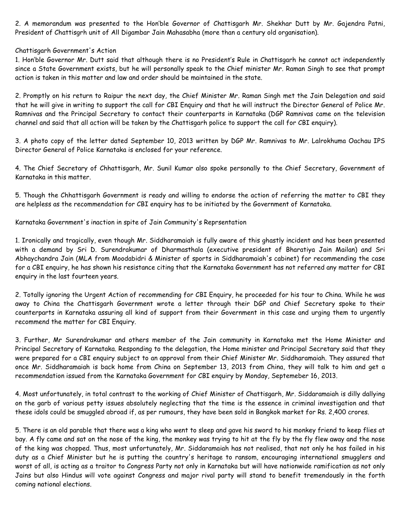2. A memorandum was presented to the Hon'ble Governor of Chattisgarh Mr. Shekhar Dutt by Mr. Gajendra Patni, President of Chattisgrh unit of All Digambar Jain Mahasabha (more than a century old organisation).

#### Chattisgarh Government's Action

1. Hon'ble Governor Mr. Dutt said that although there is no President's Rule in Chattisgarh he cannot act independently since a State Government exists, but he will personally speak to the Chief minister Mr. Raman Singh to see that prompt action is taken in this matter and law and order should be maintained in the state.

2. Promptly on his return to Raipur the next day, the Chief Minister Mr. Raman Singh met the Jain Delegation and said that he will give in writing to support the call for CBI Enquiry and that he will instruct the Director General of Police Mr. Ramnivas and the Principal Secretary to contact their counterparts in Karnataka (DGP Ramnivas came on the television channel and said that all action will be taken by the Chattisgarh police to support the call for CBI enquiry).

3. A photo copy of the letter dated September 10, 2013 written by DGP Mr. Ramnivas to Mr. Lalrokhuma Oachau IPS Director General of Police Karnataka is enclosed for your reference.

4. The Chief Secretary of Chhattisgarh, Mr. Sunil Kumar also spoke personally to the Chief Secretary, Government of Karnataka in this matter.

5. Though the Chhattisgarh Government is ready and willing to endorse the action of referring the matter to CBI they are helpless as the recommendation for CBI enquiry has to be initiated by the Government of Karnataka.

Karnataka Government's inaction in spite of Jain Community's Reprsentation

1. Ironically and tragically, even though Mr. Siddharamaiah is fully aware of this ghastly incident and has been presented with a demand by Sri D. Surendrakumar of Dharmasthala (executive president of Bharatiya Jain Mailan) and Sri Abhaychandra Jain (MLA from Moodabidri & Minister of sports in Siddharamaiah's cabinet) for recommending the case for a CBI enquiry, he has shown his resistance citing that the Karnataka Government has not referred any matter for CBI enquiry in the last fourteen years.

2. Totally ignoring the Urgent Action of recommending for CBI Enquiry, he proceeded for his tour to China. While he was away to China the Chattisgarh Government wrote a letter through their DGP and Chief Secretary spoke to their counterparts in Karnataka assuring all kind of support from their Government in this case and urging them to urgently recommend the matter for CBI Enquiry.

3. Further, Mr Surendrakumar and others member of the Jain community in Karnataka met the Home Minister and Principal Secretary of Karnataka. Responding to the delegation, the Home minister and Principal Secretary said that they were prepared for a CBI enquiry subject to an approval from their Chief Minister Mr. Siddharamaiah. They assured that once Mr. Siddharamaiah is back home from China on September 13, 2013 from China, they will talk to him and get a recommendation issued from the Karnataka Government for CBI enquiry by Monday, Septemeber 16, 2013.

4. Most unfortunately, in total contrast to the working of Chief Minister of Chattisgarh, Mr. Siddaramaiah is dilly dallying on the garb of various petty issues absolutely neglecting that the time is the essence in criminal investigation and that these idols could be smuggled abroad if, as per rumours, they have been sold in Bangkok market for Rs. 2,400 crores.

5. There is an old parable that there was a king who went to sleep and gave his sword to his monkey friend to keep flies at bay. A fly came and sat on the nose of the king, the monkey was trying to hit at the fly by the fly flew away and the nose of the king was chopped. Thus, most unfortunately, Mr. Siddaramaiah has not realised, that not only he has failed in his duty as a Chief Minister but he is putting the country's heritage to ransom, encouraging international smugglers and worst of all, is acting as a traitor to Congress Party not only in Karnataka but will have nationwide ramification as not only Jains but also Hindus will vote against Congress and major rival party will stand to benefit tremendously in the forth coming national elections.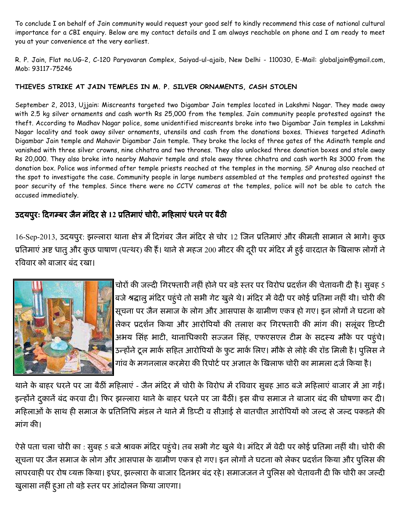To conclude I on behalf of Jain community would request your good self to kindly recommend this case of national cultural importance for a CBI enquiry. Below are my contact details and I am always reachable on phone and I am ready to meet you at your convenience at the very earliest.

R. P. Jain, Flat no.UG-2, C-120 Paryavaran Complex, Saiyad-ul-ajaib, New Delhi - 110030, E-Mail: globaljain@gmail.com, Mob: 93117-75246

### THIEVES STRIKE AT JAIN TEMPLES IN M. P. SILVER ORNAMENTS, CASH STOLEN

September 2, 2013, Ujjain: Miscreants targeted two Digambar Jain temples located in Lakshmi Nagar. They made away with 2.5 kg silver ornaments and cash worth Rs 25,000 from the temples. Jain community people protested against the theft. According to Madhav Nagar police, some unidentified miscreants broke into two Digambar Jain temples in Lakshmi Nagar locality and took away silver ornaments, utensils and cash from the donations boxes. Thieves targeted Adinath Digambar Jain temple and Mahavir Digambar Jain temple. They broke the locks of three gates of the Adinath temple and vanished with three silver crowns, nine chhatra and two thrones. They also unlocked three donation boxes and stole away Rs 20,000. They also broke into nearby Mahavir temple and stole away three chhatra and cash worth Rs 3000 from the donation box. Police was informed after temple priests reached at the temples in the morning. SP Anurag also reached at the spot to investigate the case. Community people in large numbers assembled at the temples and protested against the poor security of the temples. Since there were no CCTV cameras at the temples, police will not be able to catch the accused immediately.

# उदयपुरः दिगम्बर जैन मंदिर से 12 प्रतिमाए चोरी, महिलाएं धरने पर बैठी

16-Sep-2013, उदयपुर: झल्लारा थाना क्षेत्र में दिगंबर जैन मंदिर से चोर 12 जिन प्रतिमाए और कीमती सामान ले भागे। कुछ प्रतिमाए अष्ट धातु और कुछ पाषाण (पत्थर) की है। थाने से महज 200 मीटर की दूरी पर मदिर में हुई वारदात के खिलाफ लोगो ने रविवार को बाजार बंद रखा।



चोरों की जल्दी गिरफ्तारी नहीं होने पर बड़े स्तर पर विरोध प्रदर्शन की चेतावनी दी है। सुबह 5 बजे श्रद्धालु मंदिर पहुंचे तो सभी गेट खुले थे। मंदिर में वेदी पर कोई प्रतिमा नहीं थी। चोरी की सूचना पर जैन समाज के लोग और आसपास के ग्रामीण एकत्र हो गए। इन लोगों ने घटना को लेकर प्रदर्शन किया और आरोपियों की तलाश कर गिरफ्तारी की मांग की। सलूबर डिप्टी अभय सिंह भाटी, थानाधिकारी सज्जन सिंह, एफएसएल टीम के सदस्य मौके पर पहुंचे। उन्होंने टूल मार्क सहित आरोपियों के फुट मार्क लिए। मौके से लोहे की रॉड मिली है। पुलिस ने गांव के मंगनलाल करमेरा की रिपोर्ट पर अंजात के खिलाफ चोरी का मामला दर्ज किया है।

थाने के बाहर धरने पर जा बैठी महिलाए - जैन मंदिर में चोरी के विरोध में रविवार सुबह आठ बजे महिलाए बाजार में आ गई। इन्होंने दुकाने बंद करवा दी। फिर झल्लारा थाने के बाहर धरने पर जा बैठी। इस बीच समाज ने बाजार बंद की घोषणा कर दी। महिलाओं के साथ ही समाज के प्रतिनिधि मडल ने थाने में डिप्टी व सीआई से बातचीत आरोपियों को जल्द से जल्द पकड़ने की मांग की।

ऐसे पता चला चोरी का : सुबह 5 बजे श्रावक मंदिर पहुचे। तब सभी गेट खुले थे। मंदिर मे वेदी पर कोई प्रतिमा नहीं थी। चोरी की सूचना पर जैन समाज के लोग और आसपास के ग्रामीण एकत्र हो गए। इन लोगों ने घटना को लेकर प्रदर्शन किया और पुलिस की लापरवाही पर रोष व्यक्त किया। इधर, झल्लारा के बाजार दिनभर बद रहे। समाजजन ने पुलिस को चेतावनी दी कि चोरी का जल्दी खुलासा नहीं हुआ तो बड़े स्तर पर आदोलन किया जाएगा।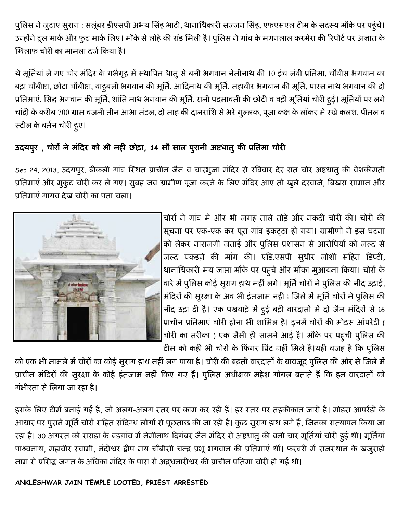पुलिस ने जुटाए सुराग : सलूंबर डीएसपी अभय सिंह भाटी, थानाधिकारी सज्जन सिंह, एफएसएल टीम के सदस्य मौके पर पहुंचे। उन्होंने टूल मार्क और फुट मार्क लिए। मौके से लोहे की रॉड मिली है। पुलिस ने गांव के मगनलाल करमेरा की रिपोर्ट पर अज्ञात के खिलाफ चोरी का मामला दर्ज किया है।

ये मूर्तियां ले गए चोर मंदिर के गर्भगृह में स्थापित धातु से बनी भगवान नेमीनाथ की 10 इंच लंबी प्रतिमा, चौबीस भगवान का बड़ा चौबीष्टा, छोटा चौबीष्टा, बाहूबली भगवान की मूर्ति, आदिनाथ की मूर्ति, महावीर भगवान की मूर्ति, पारस नाथ भगवान की दो प्रतिमाएं, सिद्ध भगवान की मूर्ति, शांति नाथ भगवान की मूर्ति, रानी पदमावती की छोटी व बड़ी मूर्तियां चोरी हुई। मूर्तियों पर लगे चांदी के करीब 700 ग्राम वजनी तीन आभा मंडल, दो माह की दानराशि से भरे गुल्लक, पूजा कक्ष के लॉकर में रखे कलश, पीतल व स्टील के बर्तन चोरी हुए।

# उदयपुर, चोरों ने मंदिर को भी नही छोड़ा, 14 सौ साल पुरानी अष्टधातु की प्रतिमा चोरी

Sep 24, 2013, उदयपुर. ढीकली गांव स्थित प्राचीन जैन व चारभुजा मंदिर से रविवार देर रात चोर अष्टधातु की बेशकीमती प्रतिमाएं और मुकुट चोरी कर ले गए। सुबह जब ग्रामीण पूजा करने के लिए मंदिर आए तो खुले दरवाजे, बिखरा सामान और प्रतिमाएं गायब देख चोरी का पता चला।



चोरों ने गांव में और भी जगह ताले तोड़े और नकदी चोरी की। चोरी की सूचना पर एक-एक कर पूरा गांव इकट्ठा हो गया। ग्रामीणों ने इस घटना को लेकर नाराजगी जताई और पुलिस प्रशासन से आरोपियों को जल्द से जल्द पकड़ने की मांग की। एडि.एसपी सुधीर जोशी सहित डिप्टी, थानाधिकारी मय जाप्ता मौके पर पहुंचे और मौका मुआयना किया। चोरों के बारे में पुलिस कोई सुराग हाथ नहीं लगे। मूर्ति चोरों ने पुलिस की नींद उड़ाई, मंदिरों की सुरक्षा के अब भी इंतजाम नहीं : जिले में मूर्ति चोरों ने पुलिस की नींद उड़ा दी है। एक पखवाड़े में हुई बड़ी वारदातों में दो जैन मंदिरों से 16 प्राचीन प्रतिमाएं चोरी होना भी शामिल है। इनमें चोरों की मोडस ऑपरेंडी ( चोरी का तरीका) एक जैसी ही सामने आई है। मौके पर पहुंची पुलिस की टीम को कहीं भी चोरों के फिंगर प्रिंट नहीं मिले हैं।यही वजह है कि पुलिस

को एक भी मामले में चोरों का कोई सुराग हाथ नहीं लग पाया है। चोरी की बढ़ती वारदातों के बावजूद पुलिस की ओर से जिले में प्राचीन मंदिरों की सुरक्षा के कोई इंतजाम नहीं किए गए हैं। पुलिस अधीक्षक महेश गोयल बताते हैं कि इन वारदातों को गंभीरता से लिया जा रहा है।

इसके लिए टीमें बनाई गई हैं, जो अलग-अलग स्तर पर काम कर रही हैं। हर स्तर पर तहकीकात जारी है। मोडस आपरेंडी के आधार पर पुराने मूर्ति चोरों सहित संदिग्ध लोगों से पूछताछ की जा रही है। कुछ सुराग हाथ लगे हैं, जिनका सत्यापन किया जा रहा है। 30 अगस्त को सराड़ा के बडग़ांव में नेमीनाथ दिगंबर जैन मंदिर से अष्टधातु की बनी चार मूर्तियां चोरी हुई थी। मूर्तियां पाश्वनाथ, महावीर स्वामी, नंदीश्वर द्वीप मय चौबीसी चन्द्र प्रभू भगवान की प्रतिमाएं थीं। फरवरी में राजस्थान के खजुराहो नाम से प्रसिद्ध जगत के अंबिका मंदिर के पास से अद्र्धनारीश्वर की प्राचीन प्रतिमा चोरी हो गई थी।

ANKLESHWAR JAIN TEMPLE LOOTED, PRIEST ARRESTED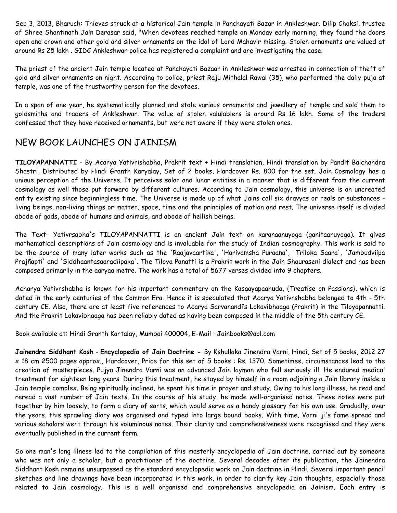Sep 3, 2013, Bharuch: Thieves struck at a historical Jain temple in Panchayati Bazar in Ankleshwar. Dilip Choksi, trustee of Shree Shantinath Jain Derasar said, "When devotees reached temple on Monday early morning, they found the doors open and crown and other gold and silver ornaments on the idol of Lord Mahavir missing. Stolen ornaments are valued at around Rs 25 lakh . GIDC Ankleshwar police has registered a complaint and are investigating the case.

The priest of the ancient Jain temple located at Panchayati Bazaar in Ankleshwar was arrested in connection of theft of gold and silver ornaments on night. According to police, priest Raju Mithalal Rawal (35), who performed the daily puja at temple, was one of the trustworthy person for the devotees.

In a span of one year, he systematically planned and stole various ornaments and jewellery of temple and sold them to goldsmiths and traders of Ankleshwar. The value of stolen valulablers is around Rs 16 lakh. Some of the traders confessed that they have received ornaments, but were not aware if they were stolen ones.

# NEW BOOK LAUNCHES ON JAINISM

TILOYAPANNATTI - By Acarya Yativrishabha, Prakrit text + Hindi translation, Hindi translation by Pandit Balchandra Shastri, Distributed by Hindi Granth Karyalay, Set of 2 books, Hardcover Rs. 800 for the set. Jain Cosmology has a unique perception of the Universe. It perceives solar and lunar entities in a manner that is different from the current cosmology as well those put forward by different cultures. According to Jain cosmology, this universe is an uncreated entity existing since beginningless time. The Universe is made up of what Jains call six dravyas or reals or substances living beings, non-living things or matter, space, time and the principles of motion and rest. The universe itself is divided abode of gods, abode of humans and animals, and abode of hellish beings.

The Text- Yativrsabha's TILOYAPANNATTI is an ancient Jain text on karanaanuyoga (ganitaanuyoga). It gives mathematical descriptions of Jain cosmology and is invaluable for the study of Indian cosmography. This work is said to be the source of many later works such as the 'Raajavaartika', 'Harivamsha Puraana', 'Triloka Saara', 'Jambudviipa Prajñapti' and 'Siddhaantasaaradiipaka'. The Tiloya Panatti is a Prakrit work in the Jain Shauraseni dialect and has been composed primarily in the aaryaa metre. The work has a total of 5677 verses divided into 9 chapters.

Acharya Yativrshabha is known for his important commentary on the Kasaayapaahuda, {Treatise on Passions}, which is dated in the early centuries of the Common Era. Hence it is speculated that Acarya Yativrshabha belonged to 4th - 5th century CE. Also, there are at least five references to Acarya Sarvanandi's Lokavibhaaga (Prakrit) in the Tiloyapannatti. And the Prakrit Lokavibhaaga has been reliably dated as having been composed in the middle of the 5th century CE.

Book available at: Hindi Granth Kartalay, Mumbai 400004, E-Mail : Jainbooks@aol.com

Jainendra Siddhant Kosh - Encyclopedia of Jain Doctrine - By Kshullaka Jinendra Varni, Hindi, Set of 5 books, 2012 27 x 18 cm 2500 pages approx., Hardcover, Price for this set of 5 books : Rs. 1370. Sometimes, circumstances lead to the creation of masterpieces. Pujya Jinendra Varni was an advanced Jain layman who fell seriously ill. He endured medical treatment for eighteen long years. During this treatment, he stayed by himself in a room adjoining a Jain library inside a Jain temple complex. Being spiritually inclined, he spent his time in prayer and study. Owing to his long illness, he read and reread a vast number of Jain texts. In the course of his study, he made well-organised notes. These notes were put together by him loosely, to form a diary of sorts, which would serve as a handy glossary for his own use. Gradually, over the years, this sprawling diary was organised and typed into large bound books. With time, Varni ji's fame spread and various scholars went through his voluminous notes. Their clarity and comprehensiveness were recognised and they were eventually published in the current form.

So one man's long illness led to the compilation of this masterly encyclopedia of Jain doctrine, carried out by someone who was not only a scholar, but a practitioner of the doctrine. Several decades after its publication, the Jainendra Siddhant Kosh remains unsurpassed as the standard encyclopedic work on Jain doctrine in Hindi. Several important pencil sketches and line drawings have been incorporated in this work, in order to clarify key Jain thoughts, especially those related to Jain cosmology. This is a well organised and comprehensive encyclopedia on Jainism. Each entry is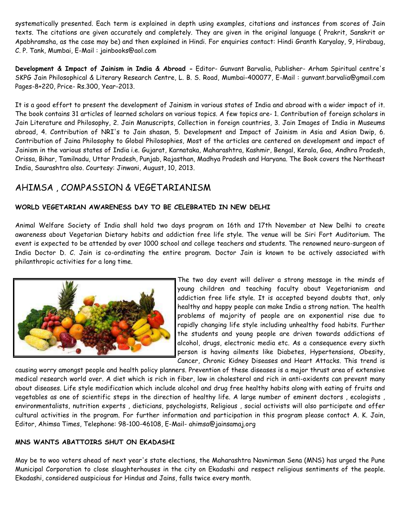systematically presented. Each term is explained in depth using examples, citations and instances from scores of Jain texts. The citations are given accurately and completely. They are given in the original language ( Prakrit, Sanskrit or Apabhramsha, as the case may be) and then explained in Hindi. For enquiries contact: Hindi Granth Karyalay, 9, Hirabaug, C. P. Tank, Mumbai, E-Mail : jainbooks@aol.com

Development & Impact of Jainism in India & Abroad - Editor- Gunvant Barvalia, Publisher- Arham Spiritual centre's SKPG Jain Philosophical & Literary Research Centre, L. B. S. Road, Mumbai-400077, E-Mail : gunvant.barvalia@gmail.com Pages-8+220, Price- Rs.300, Year-2013.

It is a good effort to present the development of Jainism in various states of India and abroad with a wider impact of it. The book contains 31 articles of learned scholars on various topics. A few topics are- 1. Contribution of foreign scholars in Jain Literature and Philosophy, 2. Jain Manuscripts, Collection in foreign countries, 3. Jain Images of India in Museums abroad, 4. Contribution of NRI's to Jain shasan, 5. Development and Impact of Jainism in Asia and Asian Dwip, 6. Contribution of Jaina Philosophy to Global Philosophies, Most of the articles are centered on development and impact of Jainism in the various states of India i.e. Gujarat, Karnataka, Maharashtra, Kashmir, Bengal, Kerala, Goa, Andhra Pradesh, Orissa, Bihar, Tamilnadu, Uttar Pradesh, Punjab, Rajasthan, Madhya Pradesh and Haryana. The Book covers the Northeast India, Saurashtra also. Courtesy: Jinwani, August, 10, 2013.

# AHIMSA , COMPASSION & VEGETARIANISM

### WORLD VEGETARIAN AWARENESS DAY TO BE CELEBRATED IN NEW DELHI

Animal Welfare Society of India shall hold two days program on 16th and 17th November at New Delhi to create awareness about Vegetarian Dietary habits and addiction free life style. The venue will be Siri Fort Auditorium. The event is expected to be attended by over 1000 school and college teachers and students. The renowned neuro-surgeon of India Doctor D. C. Jain is co-ordinating the entire program. Doctor Jain is known to be actively associated with philanthropic activities for a long time.



The two day event will deliver a strong message in the minds of young children and teaching faculty about Vegetarianism and addiction free life style. It is accepted beyond doubts that, only healthy and happy people can make India a strong nation. The health problems of majority of people are on exponential rise due to rapidly changing life style including unhealthy food habits. Further the students and young people are driven towards addictions of alcohol, drugs, electronic media etc. As a consequence every sixth person is having ailments like Diabetes, Hypertensions, Obesity, Cancer, Chronic Kidney Diseases and Heart Attacks. This trend is

causing worry amongst people and health policy planners. Prevention of these diseases is a major thrust area of extensive medical research world over. A diet which is rich in fiber, low in cholesterol and rich in anti-oxidents can prevent many about diseases. Life style modification which include alcohol and drug free healthy habits along with eating of fruits and vegetables as one of scientific steps in the direction of healthy life. A large number of eminent doctors , ecologists , environmentalists, nutrition experts , dieticians, psychologists, Religious , social activists will also participate and offer cultural activities in the program. For further information and participation in this program please contact A. K. Jain, Editor, Ahimsa Times, Telephone: 98-100-46108, E-Mail- ahimsa@jainsamaj.org

#### MNS WANTS ABATTOIRS SHUT ON EKADASHI

May be to woo voters ahead of next year's state elections, the Maharashtra Navnirman Sena (MNS) has urged the Pune Municipal Corporation to close slaughterhouses in the city on Ekadashi and respect religious sentiments of the people. Ekadashi, considered auspicious for Hindus and Jains, falls twice every month.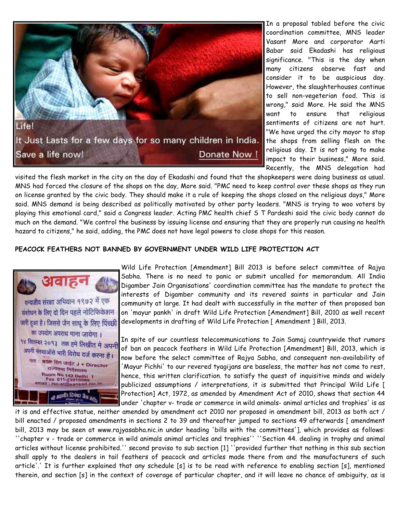

In a proposal tabled before the civic coordination committee, MNS leader Vasant More and corporator Aarti Babar said Ekadashi has religious significance. "This is the day when many citizens observe fast and consider it to be auspicious day. However, the slaughterhouses continue to sell non-vegeterian food. This is wrong," said More. He said the MNS want to ensure that religious sentiments of citizens are not hurt. "We have urged the city mayor to stop the shops from selling flesh on the religious day. It is not going to make impact to their business," More said. Recently, the MNS delegation had

visited the flesh market in the city on the day of Ekadashi and found that the shopkeepers were doing business as usual. MNS had forced the closure of the shops on the day, More said. "PMC need to keep control over these shops as they run on license granted by the civic body. They should make it a rule of keeping the shops closed on the religious days," More said. MNS demand is being described as politically motivated by other party leaders. "MNS is trying to woo voters by playing this emotional card," said a Congress leader. Acting PMC health chief S T Pardeshi said the civic body cannot do much on the demand. "We control the business by issuing license and ensuring that they are properly run causing no health hazard to citizens," he said, adding, the PMC does not have legal powers to close shops for this reason.

#### PEACOCK FEATHERS NOT BANNED BY GOVERNMENT UNDER WILD LIFE PROTECTION ACT



Wild Life Protection [Amendment] Bill 2013 is before select committee of Rajya Sabha. There is no need to panic or submit uncalled for memorandum. All India Digamber Jain Organisations' coordination committee has the mandate to protect the interests of Digamber community and its revered saints in particular and Jain community at large. It had dealt with successfully in the matter of then proposed ban on 'mayur pankh' in draft Wild Life Protection [Amendment] Bill, 2010 as well recent developments in drafting of Wild Life Protection [ Amendment ] Bill, 2013.

In spite of our countless telecommunications to Jain Samaj countrywide that rumors of ban on peacock feathers in Wild Life Protection [Amendment] Bill, 2013, which is now before the select committee of Rajya Sabha, and consequent non-availability of 'Mayur Pichhi' to our revered tyagijans are baseless, the matter has not come to rest, hence, this written clarification. to satisfy the quest of inquisitive minds and widely publicized assumptions / interpretations, it is submitted that Principal Wild Life [ Protection] Act, 1972, as amended by Amendment Act of 2010, shows that section 44 under 'chapter v- trade or commerce in wild animals- animal articles and trophies' is as

it is and effective statue, neither amended by amendment act 2010 nor proposed in amendment bill, 2013 as both act / bill enacted / proposed amendments in sections 2 to 39 and thereafter jumped to sections 49 afterwards [ amendment bill, 2013 may be seen at www.rajyasabha.nic.in under heading 'bills with the committees'], which provides as follows: ''chapter v - trade or commerce in wild animals animal articles and trophies'' ''Section 44. dealing in trophy and animal articles without license prohibited.'' second proviso to sub section [1] ''provided further that nothing in this sub section shall apply to the dealers in tail feathers of peacock and articles made there from and the manufacturers of such article'.' It is further explained that any schedule [s] is to be read with reference to enabling section [s], mentioned therein, and section [s] in the context of coverage of particular chapter, and it will leave no chance of ambiguity, as is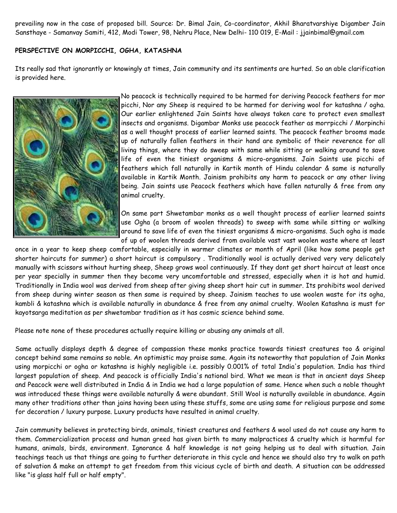prevailing now in the case of proposed bill. Source: Dr. Bimal Jain, Co-coordinator, Akhil Bharatvarshiye Digamber Jain Sansthaye - Samanvay Samiti, 412, Modi Tower, 98, Nehru Place, New Delhi- 110 019, E-Mail : jjainbimal@gmail.com

#### PERSPECTIVE ON MORPICCHI, OGHA, KATASHNA

Its really sad that ignorantly or knowingly at times, Jain community and its sentiments are hurted. So an able clarification is provided here.



No peacock is technically required to be harmed for deriving Peacock feathers for mor picchi, Nor any Sheep is required to be harmed for deriving wool for katashna / ogha. Our earlier enlightened Jain Saints have always taken care to protect even smallest insects and organisms. Digambar Monks use peacock feather as morrpicchi / Morpinchi as a well thought process of earlier learned saints. The peacock feather brooms made up of naturally fallen feathers in their hand are symbolic of their reverence for all living things, where they do sweep with same while sitting or walking around to save life of even the tiniest organisms & micro-organisms. Jain Saints use picchi of feathers which fall naturally in Kartik month of Hindu calendar & same is naturally available in Kartik Month. Jainism prohibits any harm to peacock or any other living being. Jain saints use Peacock feathers which have fallen naturally & free from any animal cruelty.

On same part Shwetambar monks as a well thought process of earlier learned saints use Ogha (a broom of woolen threads) to sweep with same while sitting or walking around to save life of even the tiniest organisms & micro-organisms. Such ogha is made of up of woolen threads derived from available vast vast woolen waste where at least

once in a year to keep sheep comfortable, especially in warmer climates or month of April (like how some people get shorter haircuts for summer) a short haircut is compulsory . Traditionally wool is actually derived very very delicately manually with scissors without hurting sheep, Sheep grows wool continuously. If they dont get short haircut at least once per year specially in summer then they become very uncomfortable and stressed, especially when it is hot and humid. Traditionally in India wool was derived from sheep after giving sheep short hair cut in summer. Its prohibits wool derived from sheep during winter season as then same is required by sheep. Jainism teaches to use woolen waste for its ogha, kambli & katashna which is available naturally in abundance & free from any animal cruelty. Woolen Katashna is must for kayotsarga meditation as per shwetambar tradition as it has cosmic science behind same.

Please note none of these procedures actually require killing or abusing any animals at all.

Same actually displays depth & degree of compassion these monks practice towards tiniest creatures too & original concept behind same remains so noble. An optimistic may praise same. Again its noteworthy that population of Jain Monks using morpicchi or ogha or katashna is highly negligible i.e. possibly 0.001% of total India's population. India has third largest population of sheep. And peacock is officially India's national bird. What we mean is that in ancient days Sheep and Peacock were well distributed in India & in India we had a large population of same. Hence when such a noble thought was introduced these things were available naturally & were abundant. Still Wool is naturally available in abundance. Again many other traditions other than jains having been using these stuffs, some are using same for religious purpose and some for decoration / luxury purpose. Luxury products have resulted in animal cruelty.

Jain community believes in protecting birds, animals, tiniest creatures and feathers & wool used do not cause any harm to them. Commercialization process and human greed has given birth to many malpractices & cruelty which is harmful for humans, animals, birds, environment. Ignorance & half knowledge is not going helping us to deal with situation. Jain teachings teach us that things are going to further deteriorate in this cycle and hence we should also try to walk on path of salvation & make an attempt to get freedom from this vicious cycle of birth and death. A situation can be addressed like "is glass half full or half empty".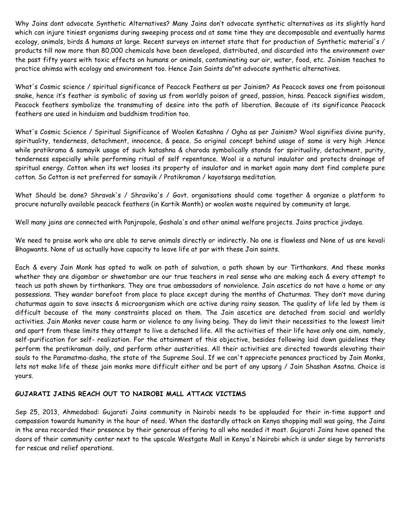Why Jains dont advocate Synthetic Alternatives? Many Jains don't advocate synthetic alternatives as its slightly hard which can injure tiniest organisms during sweeping process and at same time they are decomposable and eventually harms ecology, animals, birds & humans at large. Recent surveys on internet state that for production of Synthetic material's / products till now more than 80,000 chemicals have been developed, distributed, and discarded into the environment over the past fifty years with toxic effects on humans or animals, contaminating our air, water, food, etc. Jainism teaches to practice ahimsa with ecology and environment too. Hence Jain Saints do"nt advocate synthetic alternatives.

What's Cosmic science / spiritual significance of Peacock Feathers as per Jainism? As Peacock saves one from poisonous snake, hence it's feather is symbolic of saving us from worldly poison of greed, passion, hinsa. Peacock signifies wisdom, Peacock feathers symbolize the transmuting of desire into the path of liberation. Because of its significance Peacock feathers are used in hinduism and buddhism tradition too.

What's Cosmic Science / Spiritual Significance of Woolen Katashna / Ogha as per Jainism? Wool signifies divine purity, spirituality, tenderness, detachment, innocence, & peace. So original concept behind usage of same is very high .Hence while pratikrama & samayik usage of such katashna & charoda symbolically stands for spirituality, detachment, purity, tenderness especially while performing ritual of self repentance. Wool is a natural insulator and protects drainage of spiritual energy. Cotton when its wet looses its property of insulator and in market again many dont find complete pure cotton. So Cotton is not preferred for samayik / Pratikraman / kayotsarga meditation.

What Should be done? Shravak's / Shravika's / Govt. organisations should come together & organize a platform to procure naturally available peacock feathers (in Kartik Month) or woolen waste required by community at large.

Well many jains are connected with Panjrapole, Goshala's and other animal welfare projects. Jains practice jivdaya.

We need to praise work who are able to serve animals directly or indirectly. No one is flawless and None of us are kevali Bhagwants. None of us actually have capacity to leave life at par with these Jain saints.

Each & every Jain Monk has opted to walk on path of salvation, a path shown by our Tirthankars. And these monks whether they are digambar or shwetambar are our true teachers in real sense who are making each & every attempt to teach us path shown by tirthankars. They are true ambassadors of nonviolence. Jain ascetics do not have a home or any possessions. They wander barefoot from place to place except during the months of Chaturmas. They don't move during chaturmas again to save insects & microorganism which are active during rainy season. The quality of life led by them is difficult because of the many constraints placed on them. The Jain ascetics are detached from social and worldly activities. Jain Monks never cause harm or violence to any living being. They do limit their necessities to the lowest limit and apart from these limits they attempt to live a detached life. All the activities of their life have only one aim, namely, self-purification for self- realization. For the attainment of this objective, besides following laid down guidelines they perform the pratikraman daily, and perform other austerities. All their activities are directed towards elevating their souls to the Paramatma-dasha, the state of the Supreme Soul. If we can't appreciate penances practiced by Jain Monks, lets not make life of these jain monks more difficult either and be part of any upsarg / Jain Shashan Asatna. Choice is yours.

#### GUJARATI JAINS REACH OUT TO NAIROBI MALL ATTACK VICTIMS

Sep 25, 2013, Ahmedabad: Gujarati Jains community in Nairobi needs to be applauded for their in-time support and compassion towards humanity in the hour of need. When the dastardly attack on Kenya shopping mall was going, the Jains in the area recorded their presence by their generous offering to all who needed it most. Gujarati Jains have opened the doors of their community center next to the upscale Westgate Mall in Kenya's Nairobi which is under siege by terrorists for rescue and relief operations.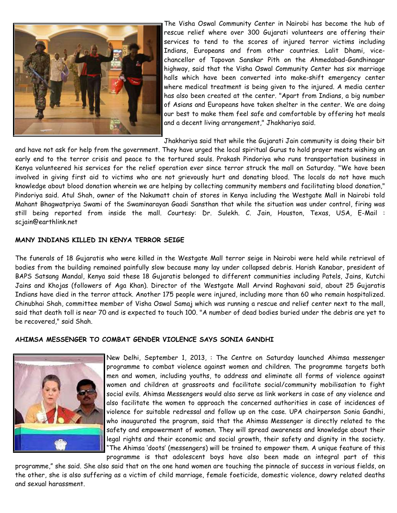

The Visha Oswal Community Center in Nairobi has become the hub of rescue relief where over 300 Gujarati volunteers are offering their services to tend to the scores of injured terror victims including Indians, Europeans and from other countries. Lalit Dhami, vicechancellor of Tapovan Sanskar Pith on the Ahmedabad-Gandhinagar highway, said that the Visha Oswal Community Center has six marriage halls which have been converted into make-shift emergency center where medical treatment is being given to the injured. A media center has also been created at the center. "Apart from Indians, a big number of Asians and Europeans have taken shelter in the center. We are doing our best to make them feel safe and comfortable by offering hot meals and a decent living arrangement," Jhakhariya said.

Jhakhariya said that while the Gujarati Jain community is doing their bit

and have not ask for help from the government. They have urged the local spiritual Gurus to hold prayer meets wishing an early end to the terror crisis and peace to the tortured souls. Prakash Pindoriya who runs transportation business in Kenya volunteered his services for the relief operation ever since terror struck the mall on Saturday. "We have been involved in giving first aid to victims who are not grievously hurt and donating blood. The locals do not have much knowledge about blood donation wherein we are helping by collecting community members and facilitating blood donation," Pindoriya said. Atul Shah, owner of the Nakumatt chain of stores in Kenya including the Westgate Mall in Nairobi told Mahant Bhagwatpriya Swami of the Swaminarayan Gaadi Sansthan that while the situation was under control, firing was still being reported from inside the mall. Courtesy: Dr. Sulekh. C. Jain, Houston, Texas, USA, E-Mail : scjain@earthlink.net

#### MANY INDIANS KILLED IN KENYA TERROR SEIGE

The funerals of 18 Gujaratis who were killed in the Westgate Mall terror seige in Nairobi were held while retrieval of bodies from the building remained painfully slow because many lay under collapsed debris. Harish Kanabar, president of BAPS Satsang Mandal, Kenya said these 18 Gujaratis belonged to different communities including Patels, Jains, Kutchi Jains and Khojas (followers of Aga Khan). Director of the Westgate Mall Arvind Raghavani said, about 25 Gujaratis Indians have died in the terror attack. Another 175 people were injured, including more than 60 who remain hospitalized. Chinubhai Shah, committee member of Visha Oswal Samaj which was running a rescue and relief center next to the mall, said that death toll is near 70 and is expected to touch 100. "A number of dead bodies buried under the debris are yet to be recovered," said Shah.

#### AHIMSA MESSENGER TO COMBAT GENDER VIOLENCE SAYS SONIA GANDHI



New Delhi, September 1, 2013, : The Centre on Saturday launched Ahimsa messenger programme to combat violence against women and children. The programme targets both men and women, including youths, to address and eliminate all forms of violence against women and children at grassroots and facilitate social/community mobilisation to fight social evils. Ahimsa Messengers would also serve as link workers in case of any violence and also facilitate the women to approach the concerned authorities in case of incidences of violence for suitable redressal and follow up on the case. UPA chairperson Sonia Gandhi, who inaugurated the program, said that the Ahimsa Messenger is directly related to the safety and empowerment of women. They will spread awareness and knowledge about their legal rights and their economic and social growth, their safety and dignity in the society. "The Ahimsa 'doots' (messengers) will be trained to empower them. A unique feature of this programme is that adolescent boys have also been made an integral part of this

programme," she said. She also said that on the one hand women are touching the pinnacle of success in various fields, on the other, she is also suffering as a victim of child marriage, female foeticide, domestic violence, dowry related deaths and sexual harassment.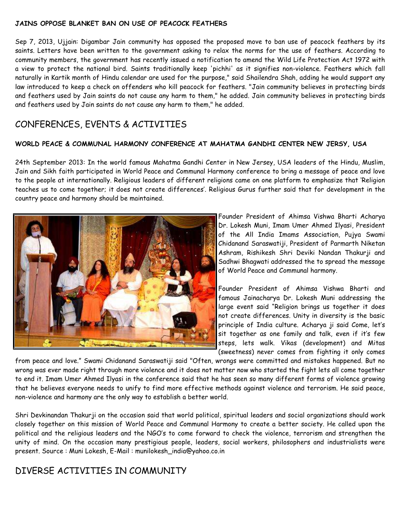#### JAINS OPPOSE BLANKET BAN ON USE OF PEACOCK FEATHERS

Sep 7, 2013, Ujjain: Digambar Jain community has opposed the proposed move to ban use of peacock feathers by its saints. Letters have been written to the government asking to relax the norms for the use of feathers. According to community members, the government has recently issued a notification to amend the Wild Life Protection Act 1972 with a view to protect the national bird. Saints traditionally keep 'pichhi' as it signifies non-violence. Feathers which fall naturally in Kartik month of Hindu calendar are used for the purpose," said Shailendra Shah, adding he would support any law introduced to keep a check on offenders who kill peacock for feathers. "Jain community believes in protecting birds and feathers used by Jain saints do not cause any harm to them," he added. Jain community believes in protecting birds and feathers used by Jain saints do not cause any harm to them," he added.

# CONFERENCES, EVENTS & ACTIVITIES

#### WORLD PEACE & COMMUNAL HARMONY CONFERENCE AT MAHATMA GANDHI CENTER NEW JERSY, USA

24th September 2013: In the world famous Mahatma Gandhi Center in New Jersey, USA leaders of the Hindu, Muslim, Jain and Sikh faith participated in World Peace and Communal Harmony conference to bring a message of peace and love to the people at internationally. Religious leaders of different religions came on one platform to emphasize that 'Religion teaches us to come together; it does not create differences'. Religious Gurus further said that for development in the country peace and harmony should be maintained.



Founder President of Ahimsa Vishwa Bharti Acharya Dr. Lokesh Muni, Imam Umer Ahmed Ilyasi, President of the All India Imams Association, Pujya Swami Chidanand Saraswatiji, President of Parmarth Niketan Ashram, Rishikesh Shri Deviki Nandan Thakurji and Sadhwi Bhagwati addressed the to spread the message of World Peace and Communal harmony.

Founder President of Ahimsa Vishwa Bharti and famous Jainacharya Dr. Lokesh Muni addressing the large event said "Religion brings us together it does not create differences. Unity in diversity is the basic principle of India culture. Acharya ji said Come, let's sit together as one family and talk, even if it's few steps, lets walk. Vikas (development) and Mitas (sweetness) never comes from fighting it only comes

from peace and love." Swami Chidanand Saraswatiji said "Often, wrongs were committed and mistakes happened. But no wrong was ever made right through more violence and it does not matter now who started the fight lets all come together to end it. Imam Umer Ahmed Ilyasi in the conference said that he has seen so many different forms of violence growing that he believes everyone needs to unify to find more effective methods against violence and terrorism. He said peace, non-violence and harmony are the only way to establish a better world.

Shri Devkinandan Thakurji on the occasion said that world political, spiritual leaders and social organizations should work closely together on this mission of World Peace and Communal Harmony to create a better society. He called upon the political and the religious leaders and the NGO's to come forward to check the violence, terrorism and strengthen the unity of mind. On the occasion many prestigious people, leaders, social workers, philosophers and industrialists were present. Source : Muni Lokesh, E-Mail : munilokesh\_india@yahoo.co.in

# DIVERSE ACTIVITIES IN COMMUNITY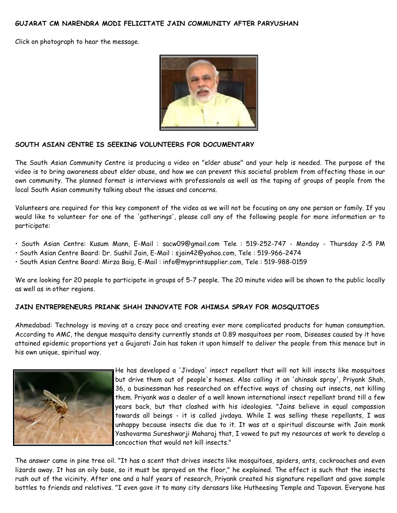#### GUJARAT CM NARENDRA MODI FELICITATE JAIN COMMUNITY AFTER PARYUSHAN

Click on photograph to hear the message.



#### SOUTH ASIAN CENTRE IS SEEKING VOLUNTEERS FOR DOCUMENTARY

The South Asian Community Centre is producing a video on "elder abuse" and your help is needed. The purpose of the video is to bring awareness about elder abuse, and how we can prevent this societal problem from affecting those in our own community. The planned format is interviews with professionals as well as the taping of groups of people from the local South Asian community talking about the issues and concerns.

Volunteers are required for this key component of the video as we will not be focusing on any one person or family. If you would like to volunteer for one of the 'gatherings', please call any of the following people for more information or to participate:

- South Asian Centre: Kusum Mann, E-Mail : sacw09@gmail.com Tele : 519-252-747 Monday Thursday 2-5 PM
- South Asian Centre Board: Dr. Sushil Jain, E-Mail : sjain42@yahoo.com, Tele : 519-966-2474
- South Asian Centre Board: Mirza Baig, E-Mail : info@myprintsupplier.com, Tele : 519-988-0159

We are looking for 20 people to participate in groups of 5-7 people. The 20 minute video will be shown to the public locally as well as in other regions.

### JAIN ENTREPRENEURS PRIANK SHAH INNOVATE FOR AHIMSA SPRAY FOR MOSQUITOES

Ahmedabad: Technology is moving at a crazy pace and creating ever more complicated products for human consumption. According to AMC, the dengue mosquito density currently stands at 0.89 mosquitoes per room, Diseases caused by it have attained epidemic proportions yet a Gujarati Jain has taken it upon himself to deliver the people from this menace but in his own unique, spiritual way.



He has developed a 'Jivdaya' insect repellant that will not kill insects like mosquitoes but drive them out of people's homes. Also calling it an 'ahinsak spray', Priyank Shah, 36, a businessman has researched on effective ways of chasing out insects, not killing them. Priyank was a dealer of a well known international insect repellant brand till a few years back, but that clashed with his ideologies. "Jains believe in equal compassion towards all beings - it is called jivdaya. While I was selling these repellants, I was unhappy because insects die due to it. It was at a spiritual discourse with Jain monk Yashovarma Sureshwarji Maharaj that, I vowed to put my resources at work to develop a concoction that would not kill insects."

The answer came in pine tree oil. "It has a scent that drives insects like mosquitoes, spiders, ants, cockroaches and even lizards away. It has an oily base, so it must be sprayed on the floor," he explained. The effect is such that the insects rush out of the vicinity. After one and a half years of research, Priyank created his signature repellant and gave sample bottles to friends and relatives. "I even gave it to many city derasars like Hutheesing Temple and Tapovan. Everyone has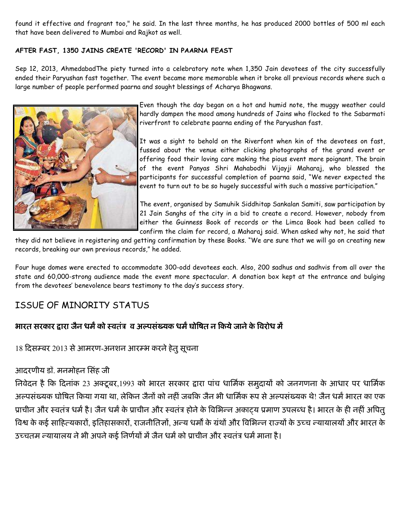found it effective and fragrant too," he said. In the last three months, he has produced 2000 bottles of 500 ml each that have been delivered to Mumbai and Rajkot as well.

#### AFTER FAST, 1350 JAINS CREATE 'RECORD' IN PAARNA FEAST

Sep 12, 2013, AhmedabadThe piety turned into a celebratory note when 1,350 Jain devotees of the city successfully ended their Paryushan fast together. The event became more memorable when it broke all previous records where such a large number of people performed paarna and sought blessings of Acharya Bhagwans.



Even though the day began on a hot and humid note, the muggy weather could hardly dampen the mood among hundreds of Jains who flocked to the Sabarmati riverfront to celebrate paarna ending of the Paryushan fast.

It was a sight to behold on the Riverfont when kin of the devotees on fast, fussed about the venue either clicking photographs of the grand event or offering food their loving care making the pious event more poignant. The brain of the event Panyas Shri Mahabodhi Vijayji Maharaj, who blessed the participants for successful completion of paarna said, "We never expected the event to turn out to be so hugely successful with such a massive participation."

The event, organised by Samuhik Siddhitap Sankalan Samiti, saw participation by 21 Jain Sanghs of the city in a bid to create a record. However, nobody from either the Guinness Book of records or the Limca Book had been called to confirm the claim for record, a Maharaj said. When asked why not, he said that

they did not believe in registering and getting confirmation by these Books. "We are sure that we will go on creating new records, breaking our own previous records," he added.

Four huge domes were erected to accommodate 300-odd devotees each. Also, 200 sadhus and sadhvis from all over the state and 60,000-strong audience made the event more spectacular. A donation box kept at the entrance and bulging from the devotees' benevolence bears testimony to the day's success story.

# ISSUE OF MINORITY STATUS

#### भारत सरकार द्वारा जैन धर्मे को स्वतंत्र व अल्पसंख्यक धर्म घोषित न किये जाने के विरोध मे -

18 दिसम्बर 2013 से आमरण-अनशन आरम्भ करने हेतु सूचना

## आदरणीय डॉ. मनमोहन सिंह जी

निवेदन है कि दिनाक 23 अक्टूबर,1993 को भारत सरकार द्वारा पाच धार्मिक समुदायों को जनगणना के आधार पर धार्मिक अल्पसंख्यक घोषित किया गया था, लेकिन जैनो को नहीं जबकि जैन भी धार्मिक रूप से अल्पसंख्यक थे! जैन धर्म भारत का एक प्राचीन और स्वतंत्र धर्म है। जैन धर्म के प्राचीन और स्वतंत्र होने के विभिन्न अकाट्य प्रमाण उपलब्ध है। भारत के ही नहीं अपितु विश्व के कई साहित्यकारो, इतिहासकारो, राजनीतिज्ञो, अन्य धर्मों के ग्रथो और विभिन्न राज्यों के उच्च न्यायालयो और भारत के उच्चतम न्यायालय ने भी अपने कई निर्णयों में जैन धर्म को प्राचीन और स्वतंत्र धर्म माना है।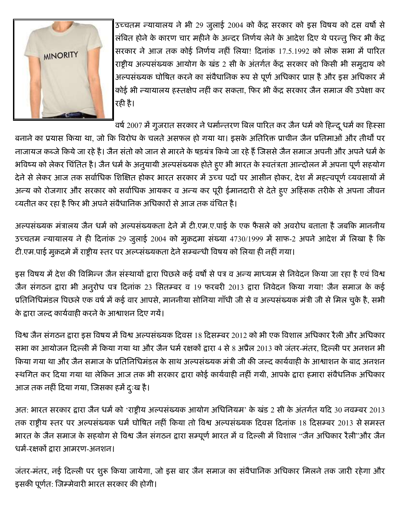

उच्चतम न्यायालय ने भी 29 जुलाई 2004 को केंद्र सरकार को इस विषय को दस वर्षो से लंबित होने के कारण चार महीने के अन्दर निर्णय लेने के आदेश दिए थे परन्तु फिर भी केंद्र सरकार ने आज तक कोई निर्णय नहीं लिया! दिनांक 17.5.1992 को लोक सभा में पारित राष्ट्रीय अल्पसंख्यक आयोग के खंड 2 सी के अंतर्गत केंद्र सरकार को किसी भी समुदाय को अल्पसंख्यक घोषित करने का संवैधानिक रूप से पूर्ण अधिकार प्राप्त है और इस अधिकार में कोई भी न्यायालय हस्तक्षेप नहीं कर सकता, फिर भी केंद्र सरकार जैन समाज की उपेक्षा कर रही है।

वर्ष 2007 में गुजरात सरकार ने धर्मान्तरण बिल पारित कर जैन धर्म को हिन्दू धर्म का हिस्सा

बनाने का प्रयास किया था, जो कि विरोध के चलते असफल हो गया था। इसके अतिरिक्त प्राचीन जैन प्रतिमाओं और तीर्थों पर नाजायज कब्जे किये जा रहे है। जैन संतो को जान से मारने के षड़यंत्र किये जा रहे हैं जिससे जैन समाज अपनी और अपने धर्म के भविष्य को लेकर चिंतित है। जैन धर्म के अनुयायी अल्पसंख्यक होते हुए भी भारत के स्वतंत्रता आन्दोलन में अपना पूर्ण सहयोग देने से लेकर आज तक सर्वाधिक शिक्षित होकर भारत सरकार में उच्च पदों पर आसीन होकर, देश में महत्वपूर्ण व्यवसायों मे अन्य को रोजगार और सरकार को सर्वाधिक आयकर व अन्य कर पूरी ईमानदारी से देते हुए अहिंसक तरीके से अपना जीवन व्यतीत कर रहा है फिर भी अपने संवैधानिक अधिकारों से आज तक वंचित है।

अल्पसंख्यक मंत्रालय जैन धर्म को अल्पसंख्यकता देने में टी.एम.ए.पाई के एक फैसले को अवरोध बताता है जबकि माननीय 5च्चतम न्यायालय ने ही दिनांक 29 जुलाई 2004 को मुक़दमा संख्या 4730/1999 में साफ-2 अपने आदेश में लिखा है कि टी.एम.पाई मुक़दमे में राष्ट्रीय स्तर पर अल्प्संख्यकता देने सम्बन्धी विषय को लिया ही नहीं गया।

इस विषय में देश की विभिन्न जैन संस्थायों द्वारा पिछले कई वर्षों से पत्र व अन्य माध्यम से निवेदन किया जा रहा है एवं विश्व जैन संगठन द्वारा भी अनुरोध पत्र दिनांक 23 सितम्बर व 19 फरबरी 2013 द्वारा निवेदन किया गया! जैन समाज के कई प्रतिनिधिमंडल पिछले एक वर्ष में कई वार आपसे, माननीया सोनिया गाँधी जी से व अल्पसंख्यक मंत्री जी से मिल चुके है, सभी के द्वारा जल्द कार्यवाही करने के आश्वाशन दिए गयें।

विश्व जैन संगठन द्वारा इस विषय में विश्व अल्पसंख्यक दिवस 18 दिसम्बर 2012 को भी एक विशाल अधिकार रैली और अधिकार सभा का आयोजन दिल्ली में किया गया था और जैन धर्म रक्षकों द्वारा 4 से 8 अप्रैल 2013 को जंतर-मंतर, दिल्ली पर अनशन भी किया गया था और जैन समाज के प्रतिनिधिमंडल के साथ अल्पसंख्यक मंत्री जी की जल्द कार्यवाही के आश्वाशन के बाद अनशन स्थगित कर दिया गया था लेकिन आज तक भी सरकार द्वारा कोई कार्यवाही नहीं गयी, आपके द्वारा हमारा संवैधनिक अधिकार आज तक नहीं दिया गया, जिसका हमें दुःख है।

अत: भारत सरकार द्वारा जैन धर्म को 'राष्ट्रीय अल्पसंख्यक आयोग अधिनियम' के खंड 2 सी के अंतर्गत यदि 30 नवम्बर 2013 तक राष्ट्रीय स्तर पर अल्पसंख्यक धर्म घोषित नहीं किया तो विश्व अल्पसंख्यक दिवस दिनांक 18 दिसम्बर 2013 से समस्त भारत के जैन समाज के सहयोग से विश्व जैन संगठन द्वारा सम्पूर्ण भारत में व दिल्ली में विशाल "जैन अधिकार रैली"और जैन धर्म-रक्षकों द्वारा आमरण-अनशन।

जंतर-मंतर, नई दिल्ली पर शुरू किया जायेगा, जो इस बार जैन समाज का संवैधानिक अधिकार मिलने तक जारी रहेगा और इसकी पूर्णत: जिम्मेवारी भारत सरकार की होगी।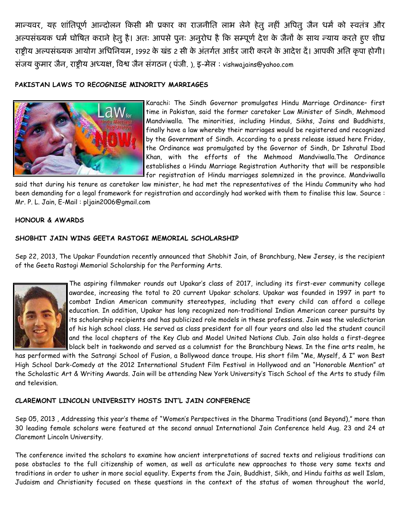मान्यवर, यह शांतिपूर्ण आन्दोलन किसी भी प्रकार का राजनीति लाभ लेने हेतू नहीं अपितू जैन धर्म को स्वतंत्र और अल्पसंख्यक धर्म घोषित कराने हेतु है। अतः आपसे पुनः अनुरोध है कि सम्पूर्ण देश के जैनों के साथ न्याय करते हुए शीघ राष्टीय अल्पसंख्यक आयोग अधिनियम, 1992 के खंड 2 सी के अंतर्गत आर्डर जारी करने के आदेश दें। आपकी अति कृपा होगी। संजय कुमार जैन, राष्ट्रीय अध्यक्ष, विश्व जैन संगठन ( पंजी. ), इ-मेल : vishwajains@yahoo.com

#### PAKISTAN LAWS TO RECOGNISE MINORITY MARRIAGES



Karachi: The Sindh Governor promulgates Hindu Marriage Ordinance- first time in Pakistan, said the former caretaker Law Minister of Sindh, Mehmood Mandviwalla. The minorities, including Hindus, Sikhs, Jains and Buddhists, finally have a law whereby their marriages would be registered and recognized by the Government of Sindh. According to a press release issued here Friday, the Ordinance was promulgated by the Governor of Sindh, Dr Ishratul Ibad Khan, with the efforts of the Mehmood Mandviwalla. The Ordinance establishes a Hindu Marriage Registration Authority that will be responsible for registration of Hindu marriages solemnized in the province. Mandviwalla

said that during his tenure as caretaker law minister, he had met the representatives of the Hindu Community who had been demanding for a legal framework for registration and accordingly had worked with them to finalise this law. Source: Mr. P. L. Jain, E-Mail: pljain2006@gmail.com

#### **HONOUR & AWARDS**

#### SHOBHIT JAIN WINS GEETA RASTOGI MEMORIAL SCHOLARSHIP

Sep 22, 2013, The Upakar Foundation recently announced that Shobhit Jain, of Branchburg, New Jersey, is the recipient of the Geeta Rastogi Memorial Scholarship for the Performing Arts.



The aspiring filmmaker rounds out Upakar's class of 2017, including its first-ever community college awardee, increasing the total to 20 current Upakar scholars. Upakar was founded in 1997 in part to combat Indian American community stereotypes, including that every child can afford a college education. In addition, Upakar has long recognized non-traditional Indian American career pursuits by its scholarship recipients and has publicized role models in these professions. Jain was the valedictorian of his high school class. He served as class president for all four years and also led the student council and the local chapters of the Key Club and Model United Nations Club. Jain also holds a first-degree black belt in taekwondo and served as a columnist for the Branchburg News. In the fine arts realm, he

has performed with the Satrangi School of Fusion, a Bollywood dance troupe. His short film "Me, Myself, & I" won Best High School Dark-Comedy at the 2012 International Student Film Festival in Hollywood and an "Honorable Mention" at the Scholastic Art & Writing Awards. Jain will be attending New York University's Tisch School of the Arts to study film and television.

#### CLAREMONT LINCOLN UNIVERSITY HOSTS INT'L JAIN CONFERENCE

Sep 05, 2013, Addressing this year's theme of "Women's Perspectives in the Dharma Traditions (and Beyond)," more than 30 leading female scholars were featured at the second annual International Jain Conference held Aug. 23 and 24 at Claremont Lincoln University.

The conference invited the scholars to examine how ancient interpretations of sacred texts and religious traditions can pose obstacles to the full citizenship of women, as well as articulate new approaches to those very same texts and traditions in order to usher in more social equality. Experts from the Jain, Buddhist, Sikh, and Hindu faiths as well Islam, Judaism and Christianity focused on these questions in the context of the status of women throughout the world,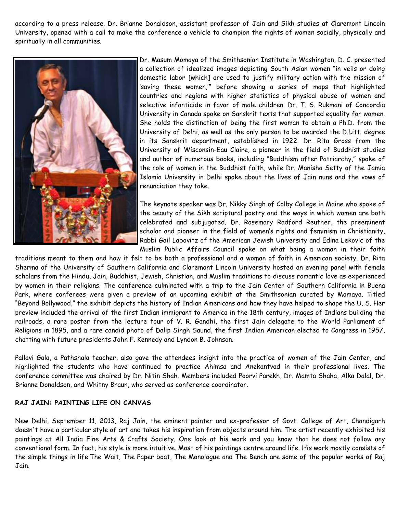according to a press release. Dr. Brianne Donaldson, assistant professor of Jain and Sikh studies at Claremont Lincoln University, opened with a call to make the conference a vehicle to champion the rights of women socially, physically and spiritually in all communities.



Dr. Masum Momaya of the Smithsonian Institute in Washington, D. C. presented a collection of idealized images depicting South Asian women "in veils or doing domestic labor [which] are used to justify military action with the mission of 'saving these women,'" before showing a series of maps that highlighted countries and regions with higher statistics of physical abuse of women and selective infanticide in favor of male children. Dr. T. S. Rukmani of Concordia University in Canada spoke on Sanskrit texts that supported equality for women. She holds the distinction of being the first woman to obtain a Ph.D. from the University of Delhi, as well as the only person to be awarded the D.Litt. degree in its Sanskrit department, established in 1922. Dr. Rita Gross from the University of Wisconsin-Eau Claire, a pioneer in the field of Buddhist studies and author of numerous books, including "Buddhism after Patriarchy," spoke of the role of women in the Buddhist faith, while Dr. Manisha Setty of the Jamia Islamia University in Delhi spoke about the lives of Jain nuns and the vows of renunciation they take.

The keynote speaker was Dr. Nikky Singh of Colby College in Maine who spoke of the beauty of the Sikh scriptural poetry and the ways in which women are both celebrated and subjugated. Dr. Rosemary Radford Reuther, the preeminent scholar and pioneer in the field of women's rights and feminism in Christianity, Rabbi Gail Labovitz of the American Jewish University and Edina Lekovic of the Muslim Public Affairs Council spoke on what being a woman in their faith

traditions meant to them and how it felt to be both a professional and a woman of faith in American society. Dr. Rita Sherma of the University of Southern California and Claremont Lincoln University hosted an evening panel with female scholars from the Hindu, Jain, Buddhist, Jewish, Christian, and Muslim traditions to discuss romantic love as experienced by women in their religions. The conference culminated with a trip to the Jain Center of Southern California in Buena Park, where conferees were given a preview of an upcoming exhibit at the Smithsonian curated by Momaya. Titled "Beyond Bollywood," the exhibit depicts the history of Indian Americans and how they have helped to shape the U. S. Her preview included the arrival of the first Indian immigrant to America in the 18th century, images of Indians building the railroads, a rare poster from the lecture tour of V. R. Gandhi, the first Jain delegate to the World Parliament of Religions in 1895, and a rare candid photo of Dalip Singh Saund, the first Indian American elected to Congress in 1957, chatting with future presidents John F. Kennedy and Lyndon B. Johnson.

Pallavi Gala, a Pathshala teacher, also gave the attendees insight into the practice of women of the Jain Center, and highlighted the students who have continued to practice Ahimsa and Anekantvad in their professional lives. The conference committee was chaired by Dr. Nitin Shah. Members included Poorvi Parekh, Dr. Mamta Shaha, Alka Dalal, Dr. Brianne Donaldson, and Whitny Braun, who served as conference coordinator.

#### RAJ JAIN: PAINTING LIFE ON CANVAS

New Delhi, September 11, 2013, Raj Jain, the eminent painter and ex-professor of Govt. College of Art, Chandigarh doesn't have a particular style of art and takes his inspiration from objects around him. The artist recently exhibited his paintings at All India Fine Arts & Crafts Society. One look at his work and you know that he does not follow any conventional form. In fact, his style is more intuitive. Most of his paintings centre around life. His work mostly consists of the simple things in life.The Wait, The Paper boat, The Monologue and The Bench are some of the popular works of Raj Jain.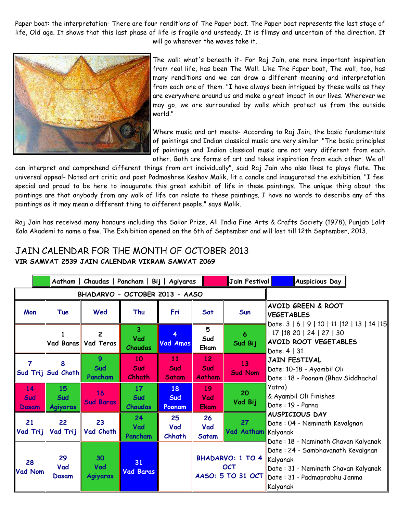Paper boat: the interpretation- There are four renditions of The Paper boat. The Paper boat represents the last stage of life, Old age. It shows that this last phase of life is fragile and unsteady. It is flimsy and uncertain of the direction. It will go wherever the waves take it.



The wall: what's beneath it- For Raj Jain, one more important inspiration from real life, has been The Wall. Like The Paper boat, The wall, too, has many renditions and we can draw a different meaning and interpretation from each one of them. "I have always been intrigued by these walls as they are everywhere around us and make a great impact in our lives. Wherever we may go, we are surrounded by walls which protect us from the outside world."

Where music and art meets- According to Raj Jain, the basic fundamentals of paintings and Indian classical music are very similar. "The basic principles of paintings and Indian classical music are not very different from each other. Both are forms of art and takes inspiration from each other. We all

can interpret and comprehend different things from art individually", said Raj Jain who also likes to plays flute. The universal appeal- Noted art critic and poet Padmashree Keshav Malik, lit a candle and inaugurated the exhibition. "I feel special and proud to be here to inaugurate this great exhibit of life in these paintings. The unique thing about the paintings are that anybody from any walk of life can relate to these paintings. I have no words to describe any of the paintings as it may mean a different thing to different people," says Malik.

Raj Jain has received many honours including the Sailor Prize, All India Fine Arts & Crafts Society (1978), Punjab Lalit Kala Akademi to name a few. The Exhibition opened on the 6th of September and will last till 12th September, 2013.

|                                |                              | Aatham   Chaudas   Pancham   Bij   Agiyaras |                                                  |                           |                            | Jain Festival                                              | <b>Auspicious Day</b>                                                                                                                                                                                                              |
|--------------------------------|------------------------------|---------------------------------------------|--------------------------------------------------|---------------------------|----------------------------|------------------------------------------------------------|------------------------------------------------------------------------------------------------------------------------------------------------------------------------------------------------------------------------------------|
| BHADARVO - OCTOBER 2013 - AASO |                              |                                             |                                                  |                           |                            |                                                            |                                                                                                                                                                                                                                    |
| Mon                            | Tue                          | Wed                                         | Thu                                              | Fri                       | Sat                        | Sun                                                        | <b>AVOID GREEN &amp; ROOT</b><br><b>VEGETABLES</b>                                                                                                                                                                                 |
|                                | Vad Baras                    | $\overline{2}$<br>Vad Teras                 | $\overline{\mathbf{3}}$<br>Vad<br><b>Chaudas</b> | 4<br><b>Vad Amas</b>      | 5<br>Sud<br>Ekam           | $\ddot{\mathbf{6}}$<br>Sud Bij                             | Date: 3   6   9   10   11   12   13   14   15<br>  17   18 20   24   27   30<br><b>AVOID ROOT VEGETABLES</b><br>Date: 4   31                                                                                                       |
| 7                              | 8<br>Sud Trij Sud Choth      | 9<br>Sud<br>Pancham                         | 10<br>Sud<br>Chhath                              | 11<br>Sud<br><b>Satam</b> | 12<br>Sud<br><b>Aatham</b> | 13<br><b>Sud Nom</b>                                       | JAIN FESTIVAL<br>Date: 10-18 - Ayambil Oli∥<br>Date: 18 - Poonam (Bhav Siddhachal                                                                                                                                                  |
| 14<br>Sud<br><b>Dasam</b>      | 15<br>Sud<br><b>Agiyaras</b> | 16<br><b>Sud Baras</b>                      | 17<br>Sud<br><b>Chaudas</b>                      | 18<br>Sud<br>Poonam       | 19<br>Vad<br><b>Ekam</b>   | 20<br>Vad Bij                                              | Yatra)<br>& Ayambil Oli Finishes<br>Date: 19 - Parna                                                                                                                                                                               |
| 21<br>Vad Trij                 | 22<br>Vad Trij               | 23<br>Vad Choth                             | 24<br>Vad<br>Pancham                             | 25<br>Vad<br>Chhath       | 26<br>Vad<br><b>Satam</b>  | 27<br>Vad Aatham Kalyanak                                  | <b>AUSPICIOUS DAY</b><br>Date: 04 - Neminath Kevalgnan<br>Date : 18 - Naminath Chavan Kalyanak<br>Date: 24 - Sambhavanath Kevalgnan<br>Kalyanak<br>Date: 31 - Neminath Chavan Kalyanak<br>Date: 31 - Padmaprabhu Janma<br>Kalyanak |
| 28<br><b>Vad Nom</b>           | 29<br>Vad<br>Dasam           | 30<br>Vad<br><b>Agiyaras</b>                | 31<br><b>Vad Baras</b>                           |                           |                            | <b>BHADARVO: 1 TO 4</b><br><b>OCT</b><br>AASO: 5 TO 31 OCT |                                                                                                                                                                                                                                    |

## JAIN CALENDAR FOR THE MONTH OF OCTOBER 2013 VIR SAMVAT 2539 JAIN CALENDAR VIKRAM SAMVAT 2069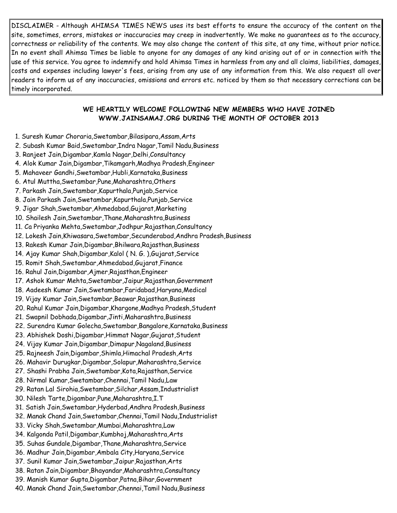DISCLAIMER - Although AHIMSA TIMES NEWS uses its best efforts to ensure the accuracy of the content on the site, sometimes, errors, mistakes or inaccuracies may creep in inadvertently. We make no guarantees as to the accuracy, correctness or reliability of the contents. We may also change the content of this site, at any time, without prior notice. In no event shall Ahimsa Times be liable to anyone for any damages of any kind arising out of or in connection with the use of this service. You agree to indemnify and hold Ahimsa Times in harmless from any and all claims, liabilities, damages, costs and expenses including lawyer's fees, arising from any use of any information from this. We also request all over readers to inform us of any inaccuracies, omissions and errors etc. noticed by them so that necessary corrections can be timely incorporated.

#### WE HEARTILY WELCOME FOLLOWING NEW MEMBERS WHO HAVE JOINED WWW.JAINSAMAJ.ORG DURING THE MONTH OF OCTOBER 2013

- 1. Suresh Kumar Choraria,Swetambar,Bilasipara,Assam,Arts
- 2. Subash Kumar Baid,Swetambar,Indra Nagar,Tamil Nadu,Business
- 3. Ranjeet Jain,Digambar,Kamla Nagar,Delhi,Consultancy
- 4. Alok Kumar Jain,Digambar,Tikamgarh,Madhya Pradesh,Engineer
- 5. Mahaveer Gandhi,Swetambar,Hubli,Karnataka,Business
- 6. Atul Muttha,Swetambar,Pune,Maharashtra,Others
- 7. Parkash Jain,Swetambar,Kapurthala,Punjab,Service
- 8. Jain Parkash Jain,Swetambar,Kapurthala,Punjab,Service
- 9. Jigar Shah,Swetambar,Ahmedabad,Gujarat,Marketing
- 10. Shailesh Jain,Swetambar,Thane,Maharashtra,Business
- 11. Ca Priyanka Mehta,Swetambar,Jodhpur,Rajasthan,Consultancy
- 12. Lokesh Jain,Khiwasara,Swetambar,Secunderabad,Andhra Pradesh,Business
- 13. Rakesh Kumar Jain,Digambar,Bhilwara,Rajasthan,Business
- 14. Ajay Kumar Shah,Digambar,Kalol ( N. G. ),Gujarat,Service
- 15. Romit Shah,Swetambar,Ahmedabad,Gujarat,Finance
- 16. Rahul Jain,Digambar,Ajmer,Rajasthan,Engineer
- 17. Ashok Kumar Mehta,Swetambar,Jaipur,Rajasthan,Government
- 18. Aadeesh Kumar Jain,Swetambar,Faridabad,Haryana,Medical
- 19. Vijay Kumar Jain,Swetambar,Beawar,Rajasthan,Business
- 20. Rahul Kumar Jain,Digambar,Khargone,Madhya Pradesh,Student
- 21. Swapnil Dobhada,Digambar,Jinti,Maharashtra,Business
- 22. Surendra Kumar Golecha,Swetambar,Bangalore,Karnataka,Business
- 23. Abhishek Doshi,Digambar,Himmat Nagar,Gujarat,Student
- 24. Vijay Kumar Jain,Digambar,Dimapur,Nagaland,Business
- 25. Rajneesh Jain,Digambar,Shimla,Himachal Pradesh,Arts
- 26. Mahavir Durugkar,Digambar,Solapur,Maharashtra,Service
- 27. Shashi Prabha Jain,Swetambar,Kota,Rajasthan,Service
- 28. Nirmal Kumar,Swetambar,Chennai,Tamil Nadu,Law
- 29. Ratan Lal Sirohia,Swetambar,Silchar,Assam,Industrialist
- 30. Nilesh Tarte,Digambar,Pune,Maharashtra,I.T
- 31. Satish Jain,Swetambar,Hyderbad,Andhra Pradesh,Business
- 32. Manak Chand Jain,Swetambar,Chennai,Tamil Nadu,Industrialist
- 33. Vicky Shah,Swetambar,Mumbai,Maharashtra,Law
- 34. Kalgonda Patil,Digambar,Kumbhoj,Maharashtra,Arts
- 35. Suhas Gundale,Digambar,Thane,Maharashtra,Service
- 36. Madhur Jain,Digambar,Ambala City,Haryana,Service
- 37. Sunil Kumar Jain,Swetambar,Jaipur,Rajasthan,Arts
- 38. Ratan Jain,Digambar,Bhayandar,Maharashtra,Consultancy
- 39. Manish Kumar Gupta,Digambar,Patna,Bihar,Government
- 40. Manak Chand Jain,Swetambar,Chennai,Tamil Nadu,Business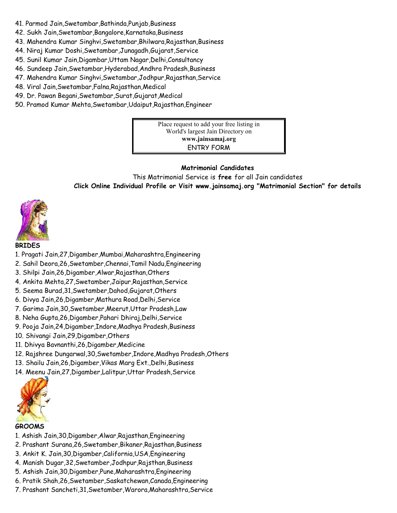- 41. Parmod Jain,Swetambar,Bathinda,Punjab,Business
- 42. Sukh Jain,Swetambar,Bangalore,Karnataka,Business
- 43. Mahendra Kumar Singhvi,Swetambar,Bhilwara,Rajasthan,Business
- 44. Niraj Kumar Doshi,Swetambar,Junagadh,Gujarat,Service
- 45. Sunil Kumar Jain,Digambar,Uttam Nagar,Delhi,Consultancy
- 46. Sundeep Jain,Swetambar,Hyderabad,Andhra Pradesh,Business
- 47. Mahendra Kumar Singhvi,Swetambar,Jodhpur,Rajasthan,Service
- 48. Viral Jain,Swetambar,Falna,Rajasthan,Medical
- 49. Dr. Pawan Begani,Swetambar,Surat,Gujarat,Medical
- 50. Pramod Kumar Mehta,Swetambar,Udaiput,Rajasthan,Engineer

Place request to add your free listing in World's largest Jain Directory on www.jainsamaj.org ENTRY FORM

#### Matrimonial Candidates

This Matrimonial Service is free for all Jain candidates Click Online Individual Profile or Visit www.jainsamaj.org "Matrimonial Section" for details



#### BRIDES

- 1. Pragati Jain,27,Digamber,Mumbai,Maharashtra,Engineering
- 2. Sahil Deora,26,Swetamber,Chennai,Tamil Nadu,Engineering
- 3. Shilpi Jain,26,Digamber,Alwar,Rajasthan,Others
- 4. Ankita Mehta,27,Swetamber,Jaipur,Rajasthan,Service
- 5. Seema Burad,31,Swetamber,Dahod,Gujarat,Others
- 6. Divya Jain,26,Digamber,Mathura Road,Delhi,Service
- 7. Garima Jain,30,Swetamber,Meerut,Uttar Pradesh,Law
- 8. Neha Gupta,26,Digamber,Pahari Dhiraj,Delhi,Service
- 9. Pooja Jain,24,Digamber,Indore,Madhya Pradesh,Business
- 10. Shivangi Jain,29,Digamber,Others
- 11. Dhivya Bavnanthi,26,Digamber,Medicine
- 12. Rajshree Dungarwal,30,Swetamber,Indore,Madhya Pradesh,Others
- 13. Shailu Jain,26,Digamber,Vikas Marg Ext.,Delhi,Business
- 14. Meenu Jain,27,Digamber,Lalitpur,Uttar Pradesh,Service



#### GROOMS

- 1. Ashish Jain,30,Digamber,Alwar,Rajasthan,Engineering
- 2. Prashant Surana,26,Swetamber,Bikaner,Rajasthan,Business
- 3. Ankit K. Jain,30,Digamber,California,USA,Engineering
- 4. Manish Dugar,32,Swetamber,Jodhpur,Rajsthan,Business
- 5. Ashish Jain,30,Digamber,Pune,Maharashtra,Engineering
- 6. Pratik Shah,26,Swetamber,Saskatchewan,Canada,Engineering
- 7. Prashant Sancheti,31,Swetamber,Warora,Maharashtra,Service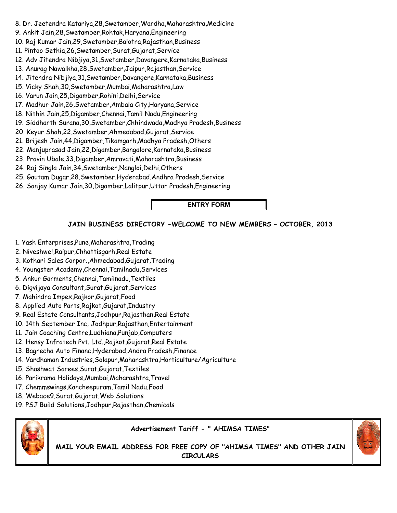- 8. Dr. Jeetendra Katariya,28,Swetamber,Wardha,Maharashtra,Medicine
- 9. Ankit Jain,28,Swetamber,Rohtak,Haryana,Engineering
- 10. Raj Kumar Jain,29,Swetamber,Balotra,Rajasthan,Business
- 11. Pintoo Sethia,26,Swetamber,Surat,Gujarat,Service
- 12. Adv Jitendra Nibjiya,31,Swetamber,Davangere,Karnataka,Business
- 13. Anurag Nawalkha,28,Swetamber,Jaipur,Rajasthan,Service
- 14. Jitendra Nibjiya,31,Swetamber,Davangere,Karnataka,Business
- 15. Vicky Shah,30,Swetamber,Mumbai,Maharashtra,Law
- 16. Varun Jain,25,Digamber,Rohini,Delhi,Service
- 17. Madhur Jain,26,Swetamber,Ambala City,Haryana,Service
- 18. Nithin Jain,25,Digamber,Chennai,Tamil Nadu,Engineering
- 19. Siddharth Surana,30,Swetamber,Chhindwada,Madhya Pradesh,Business
- 20. Keyur Shah,22,Swetamber,Ahmedabad,Gujarat,Service
- 21. Brijesh Jain,44,Digamber,Tikamgarh,Madhya Pradesh,Others
- 22. Manjuprasad Jain,22,Digamber,Bangalore,Karnataka,Business
- 23. Pravin Ubale,33,Digamber,Amravati,Maharashtra,Business
- 24. Raj Singla Jain,34,Swetamber,Nangloi,Delhi,Others
- 25. Gautam Dugar,28,Swetamber,Hyderabad,Andhra Pradesh,Service
- 26. Sanjay Kumar Jain,30,Digamber,Lalitpur,Uttar Pradesh,Engineering

### ENTRY FORM

### JAIN BUSINESS DIRECTORY -WELCOME TO NEW MEMBERS – OCTOBER, 2013

- 1. Yash Enterprises,Pune,Maharashtra,Trading
- 2. Niveshwel,Raipur,Chhattisgarh,Real Estate
- 3. Kothari Sales Corpor.,Ahmedabad,Gujarat,Trading
- 4. Youngster Academy,Chennai,Tamilnadu,Services
- 5. Ankur Garments,Chennai,Tamilnadu,Textiles
- 6. Digvijaya Consultant,Surat,Gujarat,Services
- 7. Mahindra Impex,Rajkor,Gujarat,Food
- 8. Applied Auto Parts,Rajkot,Gujarat,Industry
- 9. Real Estate Consultants,Jodhpur,Rajasthan,Real Estate
- 10. 14th September Inc, Jodhpur,Rajasthan,Entertainment
- 11. Jain Coaching Centre,Ludhiana,Punjab,Computers
- 12. Hensy Infratech Pvt. Ltd.,Rajkot,Gujarat,Real Estate
- 13. Bagrecha Auto Financ,Hyderabad,Andra Pradesh,Finance
- 14. Vardhaman Industries,Solapur,Maharashtra,Horticulture/Agriculture
- 15. Shashwat Sarees,Surat,Gujarat,Textiles
- 16. Parikrama Holidays,Mumbai,Maharashtra,Travel
- 17. Chemmswings,Kancheepuram,Tamil Nadu,Food
- 18. Webace9,Surat,Gujarat,Web Solutions
- 19. PSJ Build Solutions,Jodhpur,Rajasthan,Chemicals



### Advertisement Tariff - " AHIMSA TIMES"

MAIL YOUR EMAIL ADDRESS FOR FREE COPY OF "AHIMSA TIMES" AND OTHER JAIN CIRCULARS